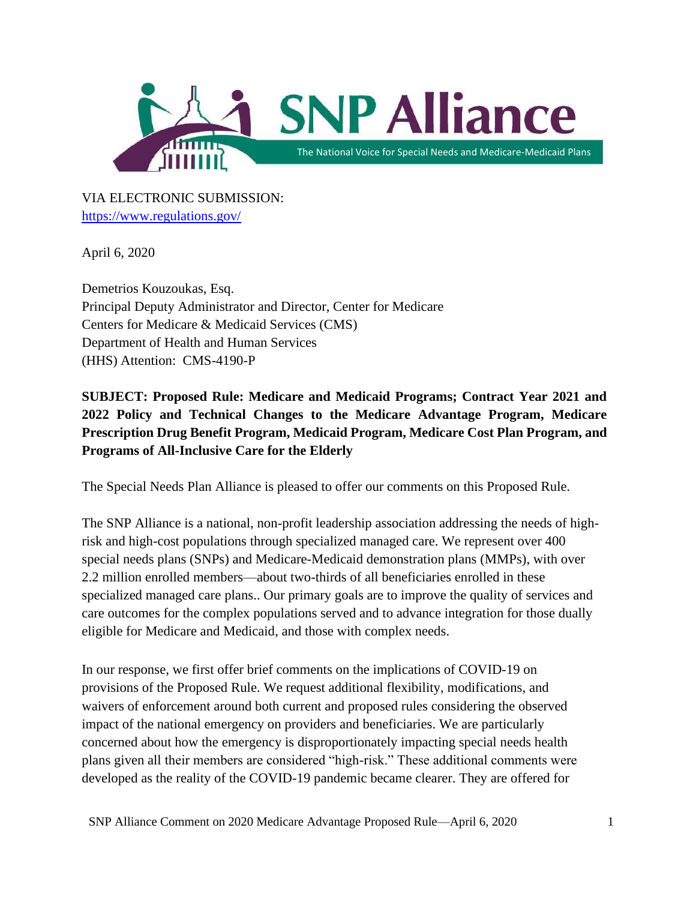

VIA ELECTRONIC SUBMISSION: <https://www.regulations.gov/>

April 6, 2020

Demetrios Kouzoukas, Esq. Principal Deputy Administrator and Director, Center for Medicare Centers for Medicare & Medicaid Services (CMS) Department of Health and Human Services (HHS) Attention: CMS-4190-P

**SUBJECT: Proposed Rule: Medicare and Medicaid Programs; Contract Year 2021 and 2022 Policy and Technical Changes to the Medicare Advantage Program, Medicare Prescription Drug Benefit Program, Medicaid Program, Medicare Cost Plan Program, and Programs of All-Inclusive Care for the Elderly**

The Special Needs Plan Alliance is pleased to offer our comments on this Proposed Rule.

The SNP Alliance is a national, non-profit leadership association addressing the needs of highrisk and high-cost populations through specialized managed care. We represent over 400 special needs plans (SNPs) and Medicare-Medicaid demonstration plans (MMPs), with over 2.2 million enrolled members—about two-thirds of all beneficiaries enrolled in these specialized managed care plans.. Our primary goals are to improve the quality of services and care outcomes for the complex populations served and to advance integration for those dually eligible for Medicare and Medicaid, and those with complex needs.

In our response, we first offer brief comments on the implications of COVID-19 on provisions of the Proposed Rule. We request additional flexibility, modifications, and waivers of enforcement around both current and proposed rules considering the observed impact of the national emergency on providers and beneficiaries. We are particularly concerned about how the emergency is disproportionately impacting special needs health plans given all their members are considered "high-risk." These additional comments were developed as the reality of the COVID-19 pandemic became clearer. They are offered for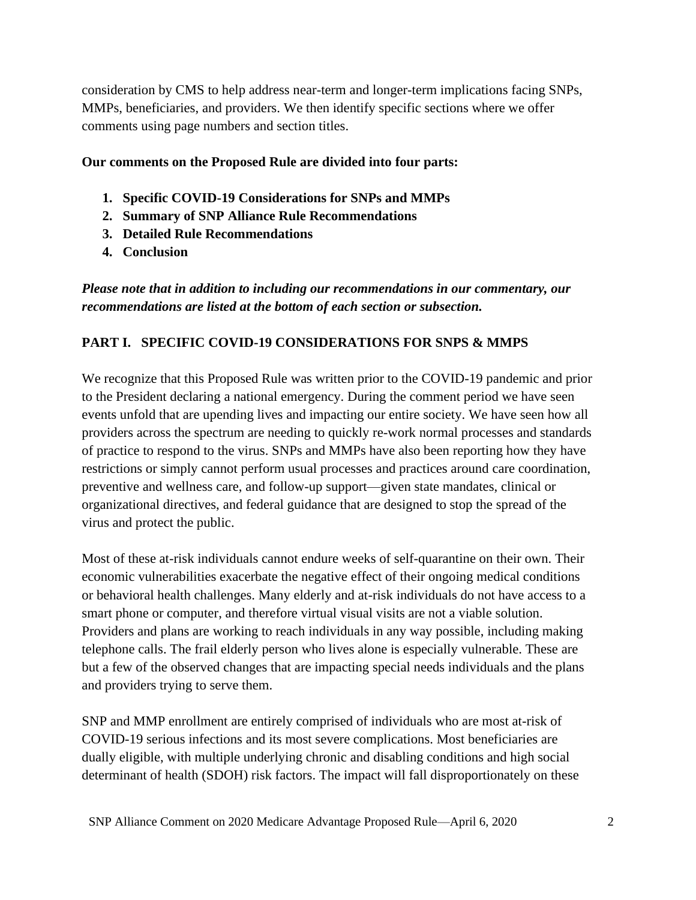consideration by CMS to help address near-term and longer-term implications facing SNPs, MMPs, beneficiaries, and providers. We then identify specific sections where we offer comments using page numbers and section titles.

## **Our comments on the Proposed Rule are divided into four parts:**

- **1. Specific COVID-19 Considerations for SNPs and MMPs**
- **2. Summary of SNP Alliance Rule Recommendations**
- **3. Detailed Rule Recommendations**
- **4. Conclusion**

*Please note that in addition to including our recommendations in our commentary, our recommendations are listed at the bottom of each section or subsection.* 

## **PART I. SPECIFIC COVID-19 CONSIDERATIONS FOR SNPS & MMPS**

We recognize that this Proposed Rule was written prior to the COVID-19 pandemic and prior to the President declaring a national emergency. During the comment period we have seen events unfold that are upending lives and impacting our entire society. We have seen how all providers across the spectrum are needing to quickly re-work normal processes and standards of practice to respond to the virus. SNPs and MMPs have also been reporting how they have restrictions or simply cannot perform usual processes and practices around care coordination, preventive and wellness care, and follow-up support—given state mandates, clinical or organizational directives, and federal guidance that are designed to stop the spread of the virus and protect the public.

Most of these at-risk individuals cannot endure weeks of self-quarantine on their own. Their economic vulnerabilities exacerbate the negative effect of their ongoing medical conditions or behavioral health challenges. Many elderly and at-risk individuals do not have access to a smart phone or computer, and therefore virtual visual visits are not a viable solution. Providers and plans are working to reach individuals in any way possible, including making telephone calls. The frail elderly person who lives alone is especially vulnerable. These are but a few of the observed changes that are impacting special needs individuals and the plans and providers trying to serve them.

SNP and MMP enrollment are entirely comprised of individuals who are most at-risk of COVID-19 serious infections and its most severe complications. Most beneficiaries are dually eligible, with multiple underlying chronic and disabling conditions and high social determinant of health (SDOH) risk factors. The impact will fall disproportionately on these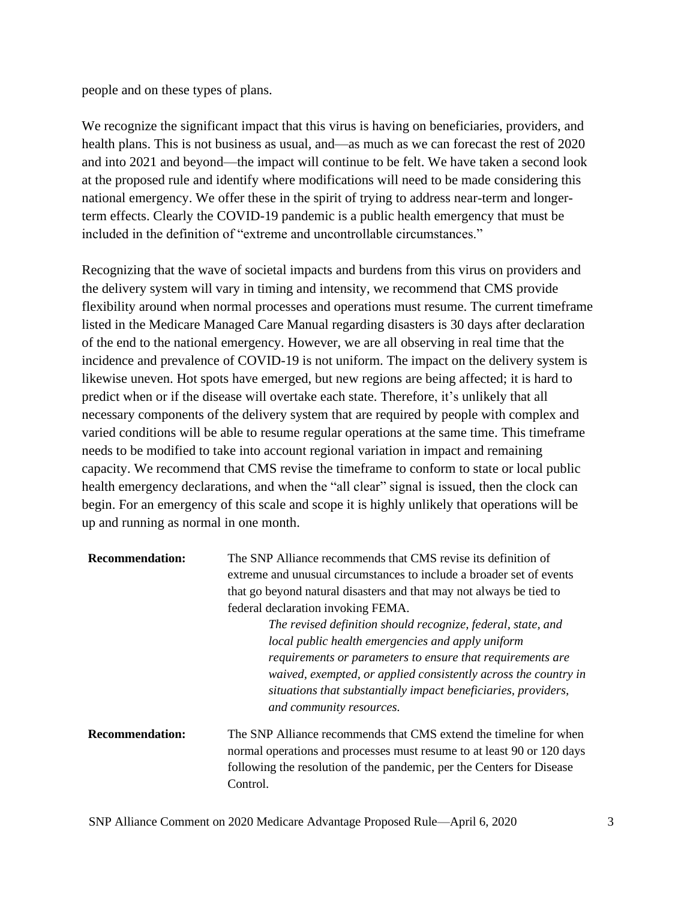people and on these types of plans.

We recognize the significant impact that this virus is having on beneficiaries, providers, and health plans. This is not business as usual, and—as much as we can forecast the rest of 2020 and into 2021 and beyond—the impact will continue to be felt. We have taken a second look at the proposed rule and identify where modifications will need to be made considering this national emergency. We offer these in the spirit of trying to address near-term and longerterm effects. Clearly the COVID-19 pandemic is a public health emergency that must be included in the definition of "extreme and uncontrollable circumstances."

Recognizing that the wave of societal impacts and burdens from this virus on providers and the delivery system will vary in timing and intensity, we recommend that CMS provide flexibility around when normal processes and operations must resume. The current timeframe listed in the Medicare Managed Care Manual regarding disasters is 30 days after declaration of the end to the national emergency. However, we are all observing in real time that the incidence and prevalence of COVID-19 is not uniform. The impact on the delivery system is likewise uneven. Hot spots have emerged, but new regions are being affected; it is hard to predict when or if the disease will overtake each state. Therefore, it's unlikely that all necessary components of the delivery system that are required by people with complex and varied conditions will be able to resume regular operations at the same time. This timeframe needs to be modified to take into account regional variation in impact and remaining capacity. We recommend that CMS revise the timeframe to conform to state or local public health emergency declarations, and when the "all clear" signal is issued, then the clock can begin. For an emergency of this scale and scope it is highly unlikely that operations will be up and running as normal in one month.

| <b>Recommendation:</b> | The SNP Alliance recommends that CMS revise its definition of<br>extreme and unusual circumstances to include a broader set of events<br>that go beyond natural disasters and that may not always be tied to<br>federal declaration invoking FEMA.<br>The revised definition should recognize, federal, state, and<br>local public health emergencies and apply uniform |
|------------------------|-------------------------------------------------------------------------------------------------------------------------------------------------------------------------------------------------------------------------------------------------------------------------------------------------------------------------------------------------------------------------|
|                        | requirements or parameters to ensure that requirements are<br>waived, exempted, or applied consistently across the country in<br>situations that substantially impact beneficiaries, providers,<br>and community resources.                                                                                                                                             |
| <b>Recommendation:</b> | The SNP Alliance recommends that CMS extend the timeline for when<br>normal operations and processes must resume to at least 90 or 120 days<br>following the resolution of the pandemic, per the Centers for Disease<br>Control.                                                                                                                                        |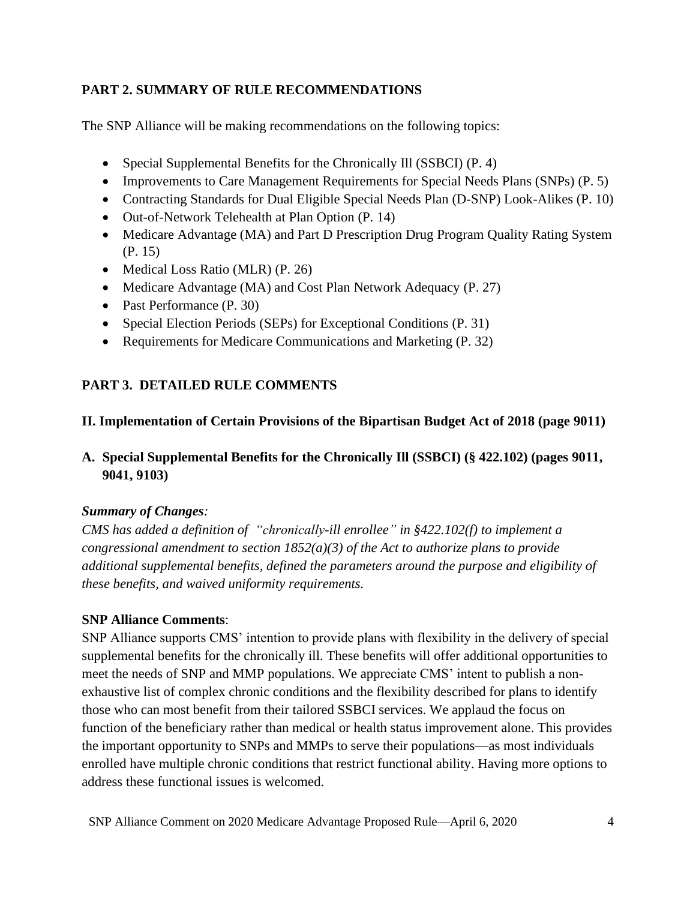## **PART 2. SUMMARY OF RULE RECOMMENDATIONS**

The SNP Alliance will be making recommendations on the following topics:

- Special Supplemental Benefits for the Chronically Ill (SSBCI) (P. 4)
- Improvements to Care Management Requirements for Special Needs Plans (SNPs) (P. 5)
- Contracting Standards for Dual Eligible Special Needs Plan (D-SNP) Look-Alikes (P. 10)
- Out-of-Network Telehealth at Plan Option (P. 14)
- Medicare Advantage (MA) and Part D Prescription Drug Program Quality Rating System (P. 15)
- Medical Loss Ratio (MLR) (P. 26)
- Medicare Advantage (MA) and Cost Plan Network Adequacy (P. 27)
- Past Performance (P. 30)
- Special Election Periods (SEPs) for Exceptional Conditions (P. 31)
- Requirements for Medicare Communications and Marketing (P. 32)

# **PART 3. DETAILED RULE COMMENTS**

## **II. Implementation of Certain Provisions of the Bipartisan Budget Act of 2018 (page 9011)**

**A. Special Supplemental Benefits for the Chronically Ill (SSBCI) (§ 422.102) (pages 9011, 9041, 9103)**

## *Summary of Changes:*

*CMS has added a definition of "chronically-ill enrollee" in §422.102(f) to implement a congressional amendment to section 1852(a)(3) of the Act to authorize plans to provide additional supplemental benefits, defined the parameters around the purpose and eligibility of these benefits, and waived uniformity requirements.* 

# **SNP Alliance Comments**:

SNP Alliance supports CMS' intention to provide plans with flexibility in the delivery of special supplemental benefits for the chronically ill. These benefits will offer additional opportunities to meet the needs of SNP and MMP populations. We appreciate CMS' intent to publish a nonexhaustive list of complex chronic conditions and the flexibility described for plans to identify those who can most benefit from their tailored SSBCI services. We applaud the focus on function of the beneficiary rather than medical or health status improvement alone. This provides the important opportunity to SNPs and MMPs to serve their populations—as most individuals enrolled have multiple chronic conditions that restrict functional ability. Having more options to address these functional issues is welcomed.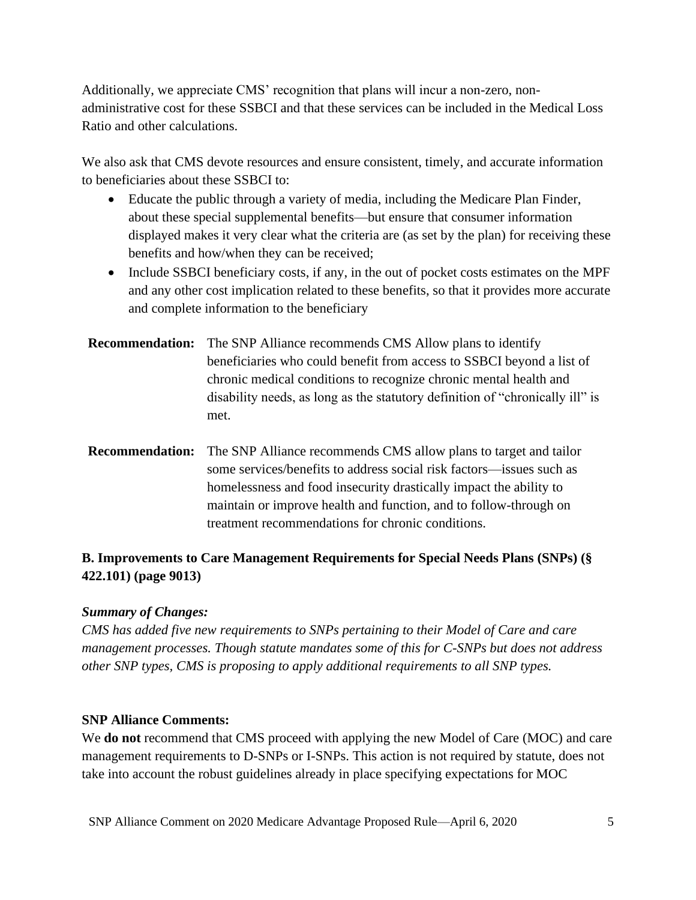Additionally, we appreciate CMS' recognition that plans will incur a non-zero, nonadministrative cost for these SSBCI and that these services can be included in the Medical Loss Ratio and other calculations.

We also ask that CMS devote resources and ensure consistent, timely, and accurate information to beneficiaries about these SSBCI to:

- Educate the public through a variety of media, including the Medicare Plan Finder, about these special supplemental benefits—but ensure that consumer information displayed makes it very clear what the criteria are (as set by the plan) for receiving these benefits and how/when they can be received;
- Include SSBCI beneficiary costs, if any, in the out of pocket costs estimates on the MPF and any other cost implication related to these benefits, so that it provides more accurate and complete information to the beneficiary
- **Recommendation:** The SNP Alliance recommends CMS Allow plans to identify beneficiaries who could benefit from access to SSBCI beyond a list of chronic medical conditions to recognize chronic mental health and disability needs, as long as the statutory definition of "chronically ill" is met.
- **Recommendation:** The SNP Alliance recommends CMS allow plans to target and tailor some services/benefits to address social risk factors—issues such as homelessness and food insecurity drastically impact the ability to maintain or improve health and function, and to follow-through on treatment recommendations for chronic conditions.

# **B. Improvements to Care Management Requirements for Special Needs Plans (SNPs) (§ 422.101) (page 9013)**

## *Summary of Changes:*

*CMS has added five new requirements to SNPs pertaining to their Model of Care and care management processes. Though statute mandates some of this for C-SNPs but does not address other SNP types, CMS is proposing to apply additional requirements to all SNP types.*

## **SNP Alliance Comments:**

We **do not** recommend that CMS proceed with applying the new Model of Care (MOC) and care management requirements to D-SNPs or I-SNPs. This action is not required by statute, does not take into account the robust guidelines already in place specifying expectations for MOC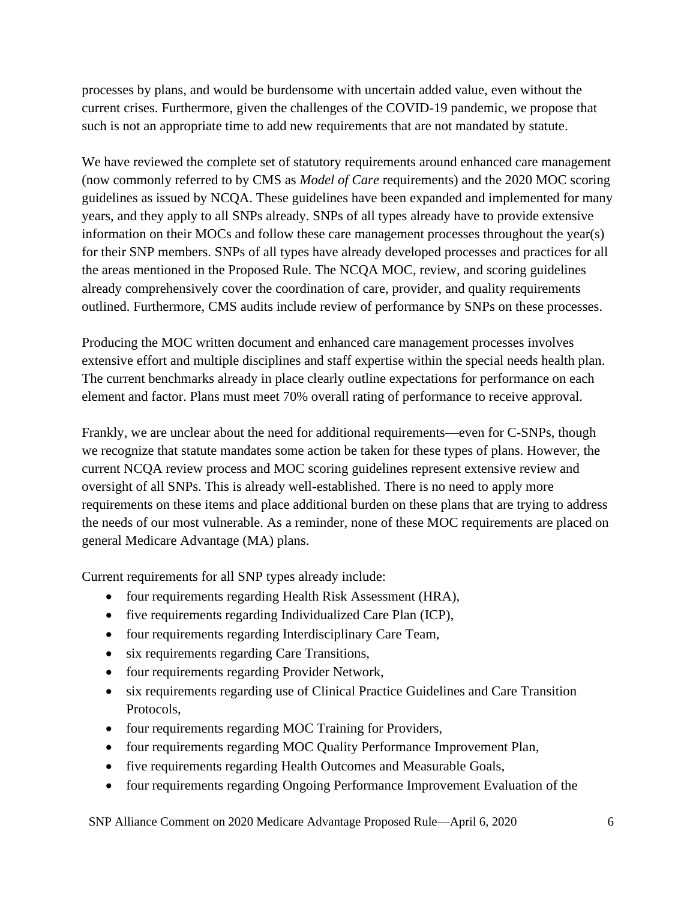processes by plans, and would be burdensome with uncertain added value, even without the current crises. Furthermore, given the challenges of the COVID-19 pandemic, we propose that such is not an appropriate time to add new requirements that are not mandated by statute.

We have reviewed the complete set of statutory requirements around enhanced care management (now commonly referred to by CMS as *Model of Care* requirements) and the 2020 MOC scoring guidelines as issued by NCQA. These guidelines have been expanded and implemented for many years, and they apply to all SNPs already. SNPs of all types already have to provide extensive information on their MOCs and follow these care management processes throughout the year(s) for their SNP members. SNPs of all types have already developed processes and practices for all the areas mentioned in the Proposed Rule. The NCQA MOC, review, and scoring guidelines already comprehensively cover the coordination of care, provider, and quality requirements outlined. Furthermore, CMS audits include review of performance by SNPs on these processes.

Producing the MOC written document and enhanced care management processes involves extensive effort and multiple disciplines and staff expertise within the special needs health plan. The current benchmarks already in place clearly outline expectations for performance on each element and factor. Plans must meet 70% overall rating of performance to receive approval.

Frankly, we are unclear about the need for additional requirements—even for C-SNPs, though we recognize that statute mandates some action be taken for these types of plans. However, the current NCQA review process and MOC scoring guidelines represent extensive review and oversight of all SNPs. This is already well-established. There is no need to apply more requirements on these items and place additional burden on these plans that are trying to address the needs of our most vulnerable. As a reminder, none of these MOC requirements are placed on general Medicare Advantage (MA) plans.

Current requirements for all SNP types already include:

- four requirements regarding Health Risk Assessment (HRA),
- five requirements regarding Individualized Care Plan (ICP),
- four requirements regarding Interdisciplinary Care Team,
- six requirements regarding Care Transitions,
- four requirements regarding Provider Network,
- six requirements regarding use of Clinical Practice Guidelines and Care Transition Protocols,
- four requirements regarding MOC Training for Providers,
- four requirements regarding MOC Quality Performance Improvement Plan,
- five requirements regarding Health Outcomes and Measurable Goals,
- four requirements regarding Ongoing Performance Improvement Evaluation of the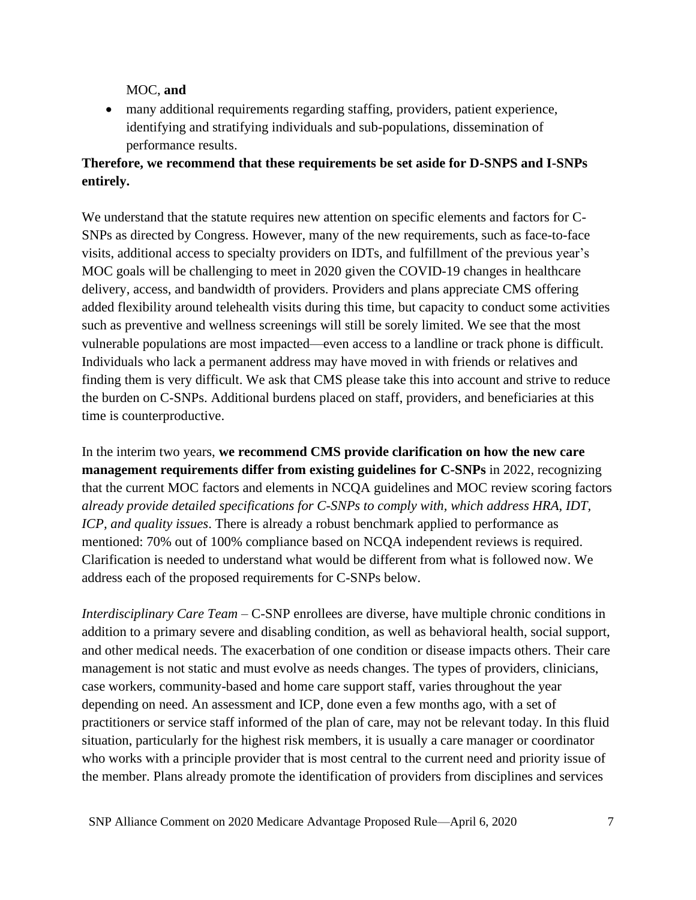MOC, **and**

• many additional requirements regarding staffing, providers, patient experience, identifying and stratifying individuals and sub-populations, dissemination of performance results.

# **Therefore, we recommend that these requirements be set aside for D-SNPS and I-SNPs entirely.**

We understand that the statute requires new attention on specific elements and factors for C-SNPs as directed by Congress. However, many of the new requirements, such as face-to-face visits, additional access to specialty providers on IDTs, and fulfillment of the previous year's MOC goals will be challenging to meet in 2020 given the COVID-19 changes in healthcare delivery, access, and bandwidth of providers. Providers and plans appreciate CMS offering added flexibility around telehealth visits during this time, but capacity to conduct some activities such as preventive and wellness screenings will still be sorely limited. We see that the most vulnerable populations are most impacted—even access to a landline or track phone is difficult. Individuals who lack a permanent address may have moved in with friends or relatives and finding them is very difficult. We ask that CMS please take this into account and strive to reduce the burden on C-SNPs. Additional burdens placed on staff, providers, and beneficiaries at this time is counterproductive.

In the interim two years, **we recommend CMS provide clarification on how the new care management requirements differ from existing guidelines for C-SNPs** in 2022, recognizing that the current MOC factors and elements in NCQA guidelines and MOC review scoring factors *already provide detailed specifications for C-SNPs to comply with, which address HRA, IDT, ICP, and quality issues*. There is already a robust benchmark applied to performance as mentioned: 70% out of 100% compliance based on NCQA independent reviews is required. Clarification is needed to understand what would be different from what is followed now. We address each of the proposed requirements for C-SNPs below.

*Interdisciplinary Care Team – C-SNP* enrollees are diverse, have multiple chronic conditions in addition to a primary severe and disabling condition, as well as behavioral health, social support, and other medical needs. The exacerbation of one condition or disease impacts others. Their care management is not static and must evolve as needs changes. The types of providers, clinicians, case workers, community-based and home care support staff, varies throughout the year depending on need. An assessment and ICP, done even a few months ago, with a set of practitioners or service staff informed of the plan of care, may not be relevant today. In this fluid situation, particularly for the highest risk members, it is usually a care manager or coordinator who works with a principle provider that is most central to the current need and priority issue of the member. Plans already promote the identification of providers from disciplines and services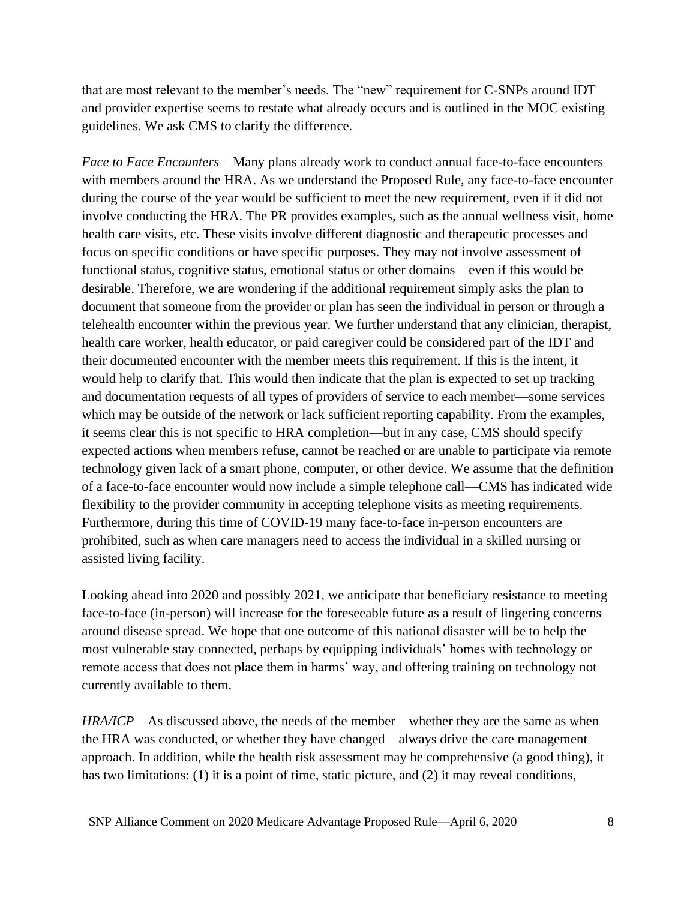that are most relevant to the member's needs. The "new" requirement for C-SNPs around IDT and provider expertise seems to restate what already occurs and is outlined in the MOC existing guidelines. We ask CMS to clarify the difference.

*Face to Face Encounters* – Many plans already work to conduct annual face-to-face encounters with members around the HRA. As we understand the Proposed Rule, any face-to-face encounter during the course of the year would be sufficient to meet the new requirement, even if it did not involve conducting the HRA. The PR provides examples, such as the annual wellness visit, home health care visits, etc. These visits involve different diagnostic and therapeutic processes and focus on specific conditions or have specific purposes. They may not involve assessment of functional status, cognitive status, emotional status or other domains—even if this would be desirable. Therefore, we are wondering if the additional requirement simply asks the plan to document that someone from the provider or plan has seen the individual in person or through a telehealth encounter within the previous year. We further understand that any clinician, therapist, health care worker, health educator, or paid caregiver could be considered part of the IDT and their documented encounter with the member meets this requirement. If this is the intent, it would help to clarify that. This would then indicate that the plan is expected to set up tracking and documentation requests of all types of providers of service to each member—some services which may be outside of the network or lack sufficient reporting capability. From the examples, it seems clear this is not specific to HRA completion—but in any case, CMS should specify expected actions when members refuse, cannot be reached or are unable to participate via remote technology given lack of a smart phone, computer, or other device. We assume that the definition of a face-to-face encounter would now include a simple telephone call—CMS has indicated wide flexibility to the provider community in accepting telephone visits as meeting requirements. Furthermore, during this time of COVID-19 many face-to-face in-person encounters are prohibited, such as when care managers need to access the individual in a skilled nursing or assisted living facility.

Looking ahead into 2020 and possibly 2021, we anticipate that beneficiary resistance to meeting face-to-face (in-person) will increase for the foreseeable future as a result of lingering concerns around disease spread. We hope that one outcome of this national disaster will be to help the most vulnerable stay connected, perhaps by equipping individuals' homes with technology or remote access that does not place them in harms' way, and offering training on technology not currently available to them.

*HRA/ICP* – As discussed above, the needs of the member—whether they are the same as when the HRA was conducted, or whether they have changed—always drive the care management approach. In addition, while the health risk assessment may be comprehensive (a good thing), it has two limitations: (1) it is a point of time, static picture, and (2) it may reveal conditions,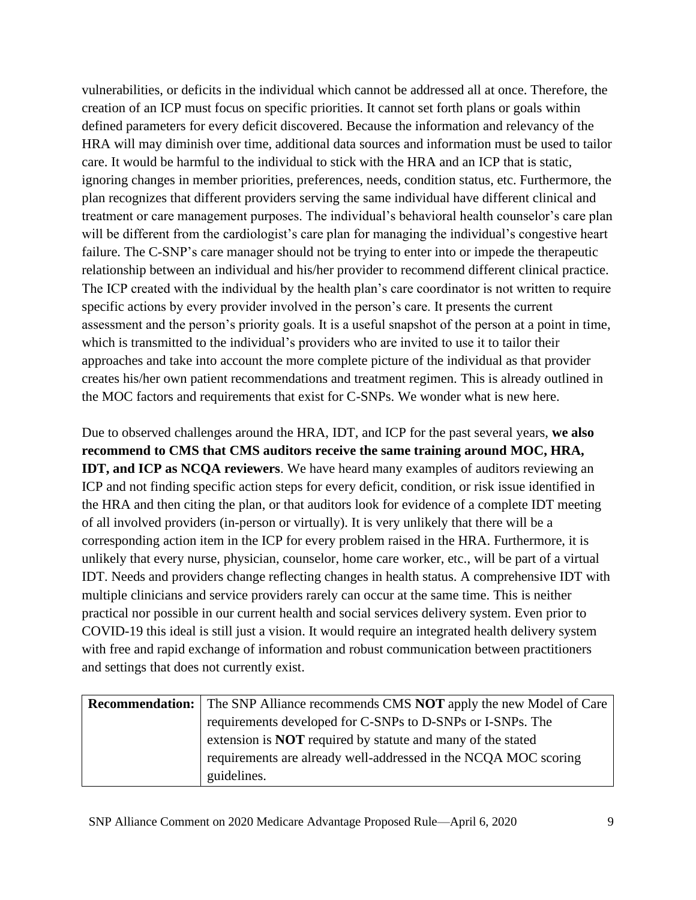vulnerabilities, or deficits in the individual which cannot be addressed all at once. Therefore, the creation of an ICP must focus on specific priorities. It cannot set forth plans or goals within defined parameters for every deficit discovered. Because the information and relevancy of the HRA will may diminish over time, additional data sources and information must be used to tailor care. It would be harmful to the individual to stick with the HRA and an ICP that is static, ignoring changes in member priorities, preferences, needs, condition status, etc. Furthermore, the plan recognizes that different providers serving the same individual have different clinical and treatment or care management purposes. The individual's behavioral health counselor's care plan will be different from the cardiologist's care plan for managing the individual's congestive heart failure. The C-SNP's care manager should not be trying to enter into or impede the therapeutic relationship between an individual and his/her provider to recommend different clinical practice. The ICP created with the individual by the health plan's care coordinator is not written to require specific actions by every provider involved in the person's care. It presents the current assessment and the person's priority goals. It is a useful snapshot of the person at a point in time, which is transmitted to the individual's providers who are invited to use it to tailor their approaches and take into account the more complete picture of the individual as that provider creates his/her own patient recommendations and treatment regimen. This is already outlined in the MOC factors and requirements that exist for C-SNPs. We wonder what is new here.

Due to observed challenges around the HRA, IDT, and ICP for the past several years, **we also recommend to CMS that CMS auditors receive the same training around MOC, HRA, IDT, and ICP as NCQA reviewers**. We have heard many examples of auditors reviewing an ICP and not finding specific action steps for every deficit, condition, or risk issue identified in the HRA and then citing the plan, or that auditors look for evidence of a complete IDT meeting of all involved providers (in-person or virtually). It is very unlikely that there will be a corresponding action item in the ICP for every problem raised in the HRA. Furthermore, it is unlikely that every nurse, physician, counselor, home care worker, etc., will be part of a virtual IDT. Needs and providers change reflecting changes in health status. A comprehensive IDT with multiple clinicians and service providers rarely can occur at the same time. This is neither practical nor possible in our current health and social services delivery system. Even prior to COVID-19 this ideal is still just a vision. It would require an integrated health delivery system with free and rapid exchange of information and robust communication between practitioners and settings that does not currently exist.

| <b>Recommendation:</b> The SNP Alliance recommends CMS <b>NOT</b> apply the new Model of Care |
|-----------------------------------------------------------------------------------------------|
| requirements developed for C-SNPs to D-SNPs or I-SNPs. The                                    |
| extension is <b>NOT</b> required by statute and many of the stated                            |
| requirements are already well-addressed in the NCQA MOC scoring                               |
| guidelines.                                                                                   |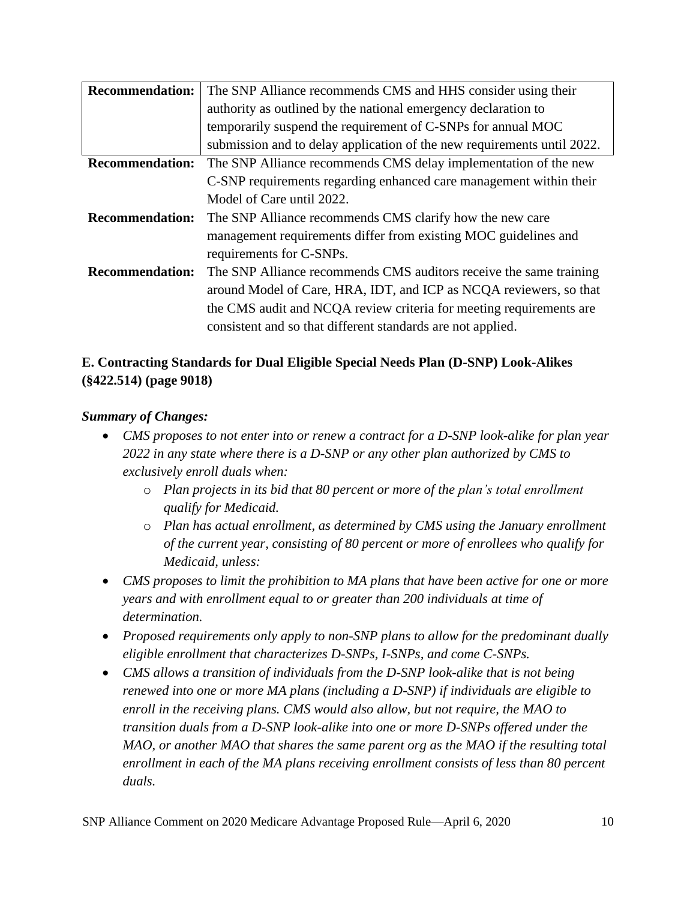| <b>Recommendation:</b> | The SNP Alliance recommends CMS and HHS consider using their            |
|------------------------|-------------------------------------------------------------------------|
|                        | authority as outlined by the national emergency declaration to          |
|                        | temporarily suspend the requirement of C-SNPs for annual MOC            |
|                        | submission and to delay application of the new requirements until 2022. |
| <b>Recommendation:</b> | The SNP Alliance recommends CMS delay implementation of the new         |
|                        | C-SNP requirements regarding enhanced care management within their      |
|                        | Model of Care until 2022.                                               |
| <b>Recommendation:</b> | The SNP Alliance recommends CMS clarify how the new care                |
|                        | management requirements differ from existing MOC guidelines and         |
|                        | requirements for C-SNPs.                                                |
| <b>Recommendation:</b> | The SNP Alliance recommends CMS auditors receive the same training      |
|                        | around Model of Care, HRA, IDT, and ICP as NCQA reviewers, so that      |
|                        | the CMS audit and NCQA review criteria for meeting requirements are     |
|                        | consistent and so that different standards are not applied.             |

# **E. Contracting Standards for Dual Eligible Special Needs Plan (D-SNP) Look-Alikes (§422.514) (page 9018)**

## *Summary of Changes:*

- *CMS proposes to not enter into or renew a contract for a D-SNP look-alike for plan year 2022 in any state where there is a D-SNP or any other plan authorized by CMS to exclusively enroll duals when:* 
	- o *Plan projects in its bid that 80 percent or more of the plan's total enrollment qualify for Medicaid.*
	- o *Plan has actual enrollment, as determined by CMS using the January enrollment of the current year, consisting of 80 percent or more of enrollees who qualify for Medicaid, unless:*
- *CMS proposes to limit the prohibition to MA plans that have been active for one or more years and with enrollment equal to or greater than 200 individuals at time of determination.*
- *Proposed requirements only apply to non-SNP plans to allow for the predominant dually eligible enrollment that characterizes D-SNPs, I-SNPs, and come C-SNPs.*
- *CMS allows a transition of individuals from the D-SNP look-alike that is not being renewed into one or more MA plans (including a D-SNP) if individuals are eligible to enroll in the receiving plans. CMS would also allow, but not require, the MAO to transition duals from a D-SNP look-alike into one or more D-SNPs offered under the MAO, or another MAO that shares the same parent org as the MAO if the resulting total enrollment in each of the MA plans receiving enrollment consists of less than 80 percent duals.*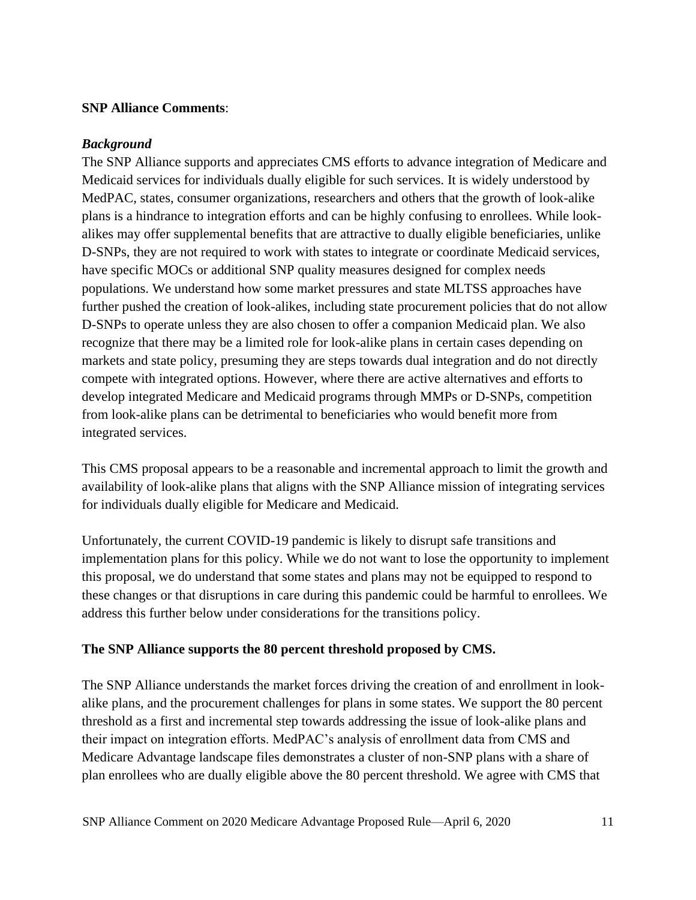### **SNP Alliance Comments**:

### *Background*

The SNP Alliance supports and appreciates CMS efforts to advance integration of Medicare and Medicaid services for individuals dually eligible for such services. It is widely understood by MedPAC, states, consumer organizations, researchers and others that the growth of look-alike plans is a hindrance to integration efforts and can be highly confusing to enrollees. While lookalikes may offer supplemental benefits that are attractive to dually eligible beneficiaries, unlike D-SNPs, they are not required to work with states to integrate or coordinate Medicaid services, have specific MOCs or additional SNP quality measures designed for complex needs populations. We understand how some market pressures and state MLTSS approaches have further pushed the creation of look-alikes, including state procurement policies that do not allow D-SNPs to operate unless they are also chosen to offer a companion Medicaid plan. We also recognize that there may be a limited role for look-alike plans in certain cases depending on markets and state policy, presuming they are steps towards dual integration and do not directly compete with integrated options. However, where there are active alternatives and efforts to develop integrated Medicare and Medicaid programs through MMPs or D-SNPs, competition from look-alike plans can be detrimental to beneficiaries who would benefit more from integrated services.

This CMS proposal appears to be a reasonable and incremental approach to limit the growth and availability of look-alike plans that aligns with the SNP Alliance mission of integrating services for individuals dually eligible for Medicare and Medicaid.

Unfortunately, the current COVID-19 pandemic is likely to disrupt safe transitions and implementation plans for this policy. While we do not want to lose the opportunity to implement this proposal, we do understand that some states and plans may not be equipped to respond to these changes or that disruptions in care during this pandemic could be harmful to enrollees. We address this further below under considerations for the transitions policy.

## **The SNP Alliance supports the 80 percent threshold proposed by CMS.**

The SNP Alliance understands the market forces driving the creation of and enrollment in lookalike plans, and the procurement challenges for plans in some states. We support the 80 percent threshold as a first and incremental step towards addressing the issue of look-alike plans and their impact on integration efforts. MedPAC's analysis of enrollment data from CMS and Medicare Advantage landscape files demonstrates a cluster of non-SNP plans with a share of plan enrollees who are dually eligible above the 80 percent threshold. We agree with CMS that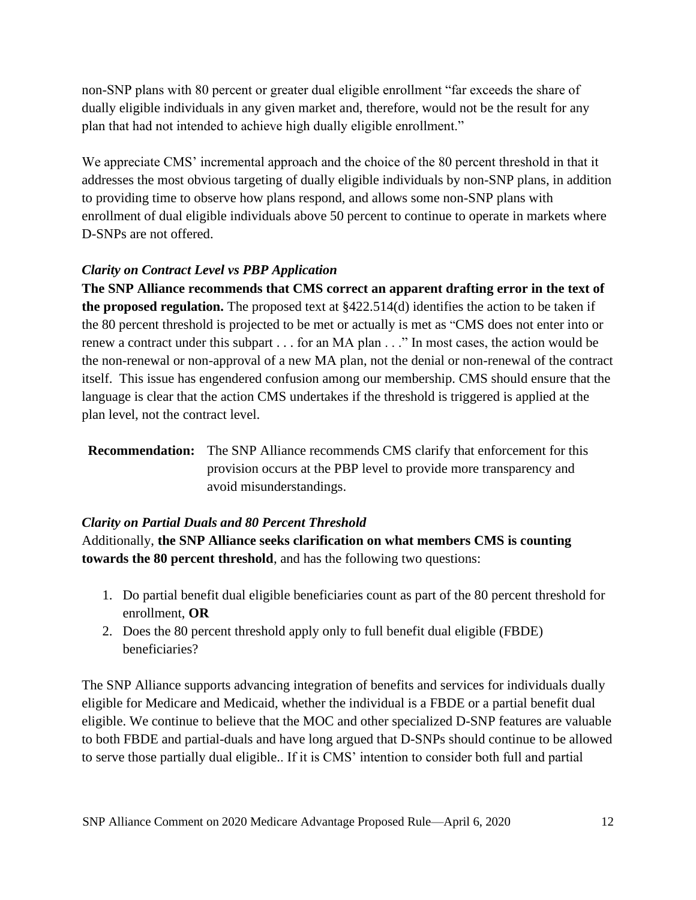non-SNP plans with 80 percent or greater dual eligible enrollment "far exceeds the share of dually eligible individuals in any given market and, therefore, would not be the result for any plan that had not intended to achieve high dually eligible enrollment."

We appreciate CMS' incremental approach and the choice of the 80 percent threshold in that it addresses the most obvious targeting of dually eligible individuals by non-SNP plans, in addition to providing time to observe how plans respond, and allows some non-SNP plans with enrollment of dual eligible individuals above 50 percent to continue to operate in markets where D-SNPs are not offered.

## *Clarity on Contract Level vs PBP Application*

**The SNP Alliance recommends that CMS correct an apparent drafting error in the text of the proposed regulation.** The proposed text at §422.514(d) identifies the action to be taken if the 80 percent threshold is projected to be met or actually is met as "CMS does not enter into or renew a contract under this subpart . . . for an MA plan . . ." In most cases, the action would be the non-renewal or non-approval of a new MA plan, not the denial or non-renewal of the contract itself. This issue has engendered confusion among our membership. CMS should ensure that the language is clear that the action CMS undertakes if the threshold is triggered is applied at the plan level, not the contract level.

## *Clarity on Partial Duals and 80 Percent Threshold*

Additionally, **the SNP Alliance seeks clarification on what members CMS is counting towards the 80 percent threshold**, and has the following two questions:

- 1. Do partial benefit dual eligible beneficiaries count as part of the 80 percent threshold for enrollment, **OR**
- 2. Does the 80 percent threshold apply only to full benefit dual eligible (FBDE) beneficiaries?

The SNP Alliance supports advancing integration of benefits and services for individuals dually eligible for Medicare and Medicaid, whether the individual is a FBDE or a partial benefit dual eligible. We continue to believe that the MOC and other specialized D-SNP features are valuable to both FBDE and partial-duals and have long argued that D-SNPs should continue to be allowed to serve those partially dual eligible.. If it is CMS' intention to consider both full and partial

**Recommendation:** The SNP Alliance recommends CMS clarify that enforcement for this provision occurs at the PBP level to provide more transparency and avoid misunderstandings.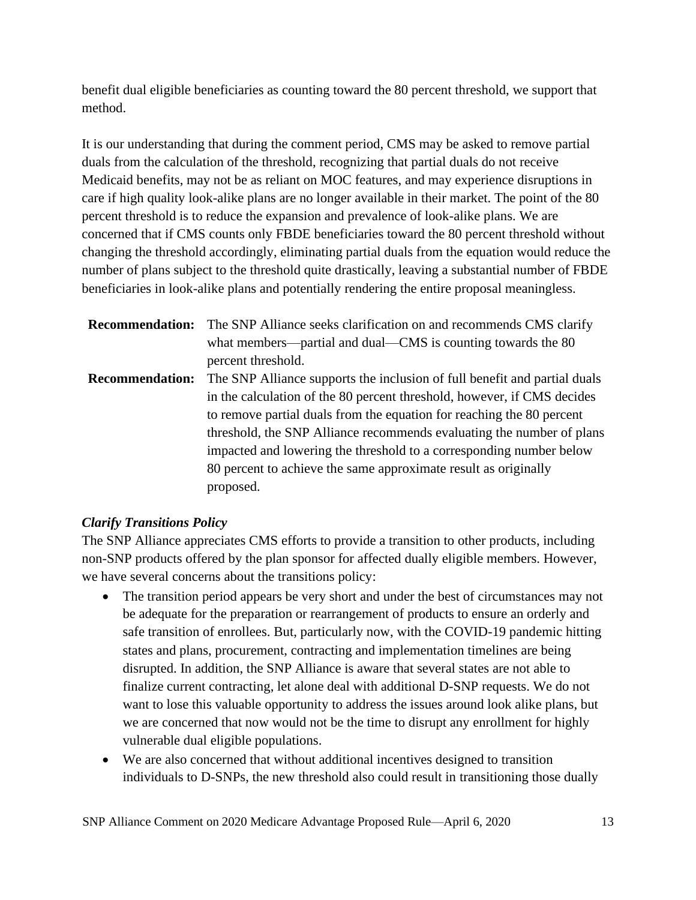benefit dual eligible beneficiaries as counting toward the 80 percent threshold, we support that method.

It is our understanding that during the comment period, CMS may be asked to remove partial duals from the calculation of the threshold, recognizing that partial duals do not receive Medicaid benefits, may not be as reliant on MOC features, and may experience disruptions in care if high quality look-alike plans are no longer available in their market. The point of the 80 percent threshold is to reduce the expansion and prevalence of look-alike plans. We are concerned that if CMS counts only FBDE beneficiaries toward the 80 percent threshold without changing the threshold accordingly, eliminating partial duals from the equation would reduce the number of plans subject to the threshold quite drastically, leaving a substantial number of FBDE beneficiaries in look-alike plans and potentially rendering the entire proposal meaningless.

|                        | <b>Recommendation:</b> The SNP Alliance seeks clarification on and recommends CMS clarify |
|------------------------|-------------------------------------------------------------------------------------------|
|                        | what members—partial and dual—CMS is counting towards the 80                              |
|                        | percent threshold.                                                                        |
| <b>Recommendation:</b> | The SNP Alliance supports the inclusion of full benefit and partial duals                 |
|                        | in the calculation of the 80 percent threshold, however, if CMS decides                   |
|                        | to remove partial duals from the equation for reaching the 80 percent                     |
|                        | threshold, the SNP Alliance recommends evaluating the number of plans                     |
|                        | impacted and lowering the threshold to a corresponding number below                       |
|                        | 80 percent to achieve the same approximate result as originally                           |
|                        | proposed.                                                                                 |

## *Clarify Transitions Policy*

The SNP Alliance appreciates CMS efforts to provide a transition to other products, including non-SNP products offered by the plan sponsor for affected dually eligible members. However, we have several concerns about the transitions policy:

- The transition period appears be very short and under the best of circumstances may not be adequate for the preparation or rearrangement of products to ensure an orderly and safe transition of enrollees. But, particularly now, with the COVID-19 pandemic hitting states and plans, procurement, contracting and implementation timelines are being disrupted. In addition, the SNP Alliance is aware that several states are not able to finalize current contracting, let alone deal with additional D-SNP requests. We do not want to lose this valuable opportunity to address the issues around look alike plans, but we are concerned that now would not be the time to disrupt any enrollment for highly vulnerable dual eligible populations.
- We are also concerned that without additional incentives designed to transition individuals to D-SNPs, the new threshold also could result in transitioning those dually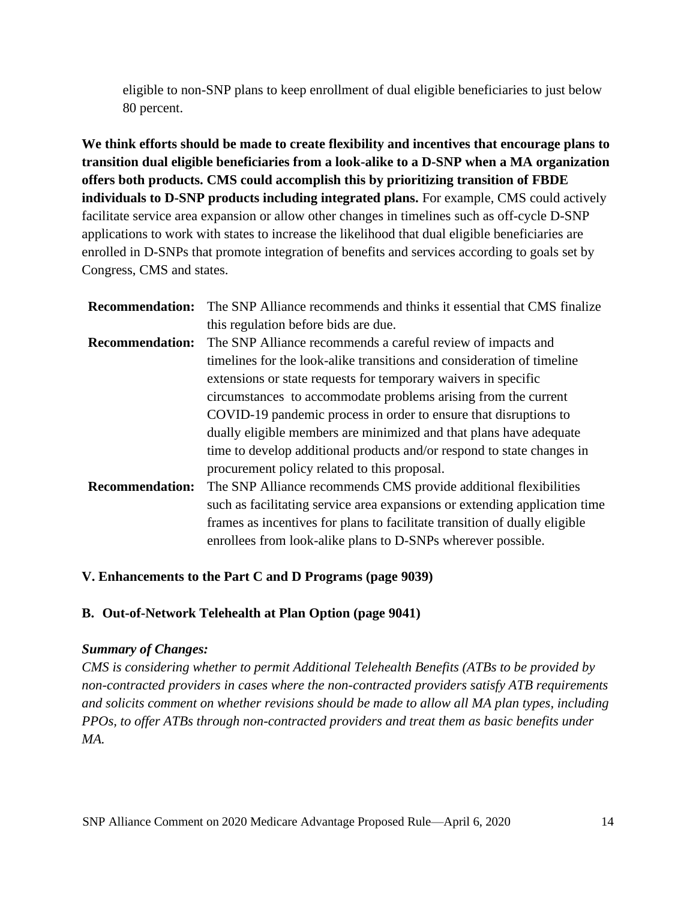eligible to non-SNP plans to keep enrollment of dual eligible beneficiaries to just below 80 percent.

**We think efforts should be made to create flexibility and incentives that encourage plans to transition dual eligible beneficiaries from a look-alike to a D-SNP when a MA organization offers both products. CMS could accomplish this by prioritizing transition of FBDE individuals to D-SNP products including integrated plans.** For example, CMS could actively facilitate service area expansion or allow other changes in timelines such as off-cycle D-SNP applications to work with states to increase the likelihood that dual eligible beneficiaries are enrolled in D-SNPs that promote integration of benefits and services according to goals set by Congress, CMS and states.

| <b>Recommendation:</b> | The SNP Alliance recommends and thinks it essential that CMS finalize      |
|------------------------|----------------------------------------------------------------------------|
|                        | this regulation before bids are due.                                       |
| <b>Recommendation:</b> | The SNP Alliance recommends a careful review of impacts and                |
|                        | timelines for the look-alike transitions and consideration of timeline     |
|                        | extensions or state requests for temporary waivers in specific             |
|                        | circumstances to accommodate problems arising from the current             |
|                        | COVID-19 pandemic process in order to ensure that disruptions to           |
|                        | dually eligible members are minimized and that plans have adequate         |
|                        | time to develop additional products and/or respond to state changes in     |
|                        | procurement policy related to this proposal.                               |
| <b>Recommendation:</b> | The SNP Alliance recommends CMS provide additional flexibilities           |
|                        | such as facilitating service area expansions or extending application time |
|                        | frames as incentives for plans to facilitate transition of dually eligible |
|                        | enrollees from look-alike plans to D-SNPs wherever possible.               |

## **V. Enhancements to the Part C and D Programs (page 9039)**

#### **B. Out-of-Network Telehealth at Plan Option (page 9041)**

#### *Summary of Changes:*

*CMS is considering whether to permit Additional Telehealth Benefits (ATBs to be provided by non-contracted providers in cases where the non-contracted providers satisfy ATB requirements and solicits comment on whether revisions should be made to allow all MA plan types, including PPOs, to offer ATBs through non-contracted providers and treat them as basic benefits under MA.*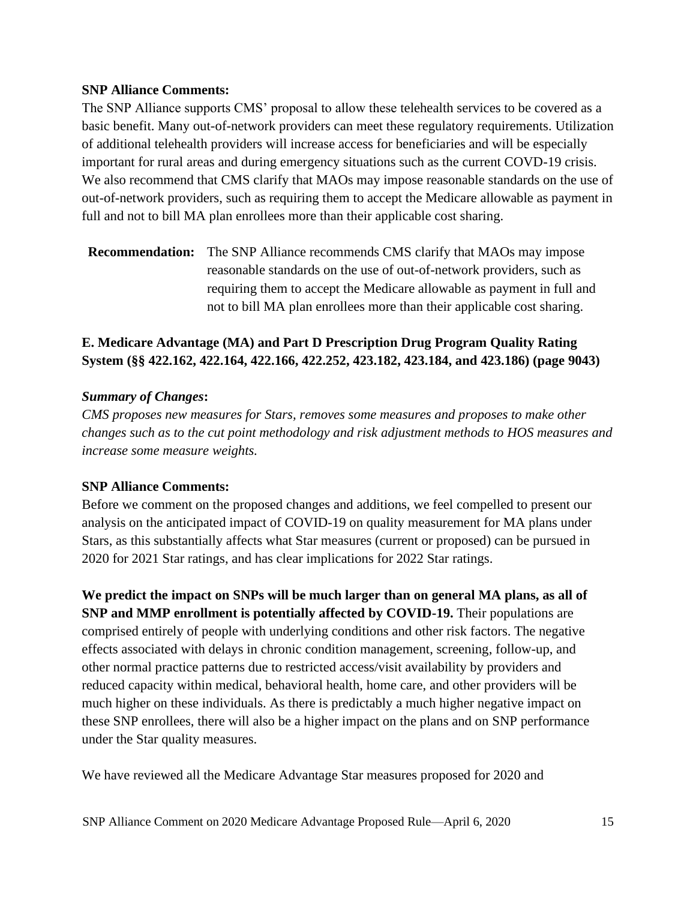### **SNP Alliance Comments:**

The SNP Alliance supports CMS' proposal to allow these telehealth services to be covered as a basic benefit. Many out-of-network providers can meet these regulatory requirements. Utilization of additional telehealth providers will increase access for beneficiaries and will be especially important for rural areas and during emergency situations such as the current COVD-19 crisis. We also recommend that CMS clarify that MAOs may impose reasonable standards on the use of out-of-network providers, such as requiring them to accept the Medicare allowable as payment in full and not to bill MA plan enrollees more than their applicable cost sharing.

**Recommendation:** The SNP Alliance recommends CMS clarify that MAOs may impose reasonable standards on the use of out-of-network providers, such as requiring them to accept the Medicare allowable as payment in full and not to bill MA plan enrollees more than their applicable cost sharing.

## **E. Medicare Advantage (MA) and Part D Prescription Drug Program Quality Rating System (§§ 422.162, 422.164, 422.166, 422.252, 423.182, 423.184, and 423.186) (page 9043)**

## *Summary of Changes***:**

*CMS proposes new measures for Stars, removes some measures and proposes to make other changes such as to the cut point methodology and risk adjustment methods to HOS measures and increase some measure weights.*

## **SNP Alliance Comments:**

Before we comment on the proposed changes and additions, we feel compelled to present our analysis on the anticipated impact of COVID-19 on quality measurement for MA plans under Stars, as this substantially affects what Star measures (current or proposed) can be pursued in 2020 for 2021 Star ratings, and has clear implications for 2022 Star ratings.

**We predict the impact on SNPs will be much larger than on general MA plans, as all of SNP and MMP enrollment is potentially affected by COVID-19.** Their populations are comprised entirely of people with underlying conditions and other risk factors. The negative effects associated with delays in chronic condition management, screening, follow-up, and other normal practice patterns due to restricted access/visit availability by providers and reduced capacity within medical, behavioral health, home care, and other providers will be much higher on these individuals. As there is predictably a much higher negative impact on these SNP enrollees, there will also be a higher impact on the plans and on SNP performance under the Star quality measures.

We have reviewed all the Medicare Advantage Star measures proposed for 2020 and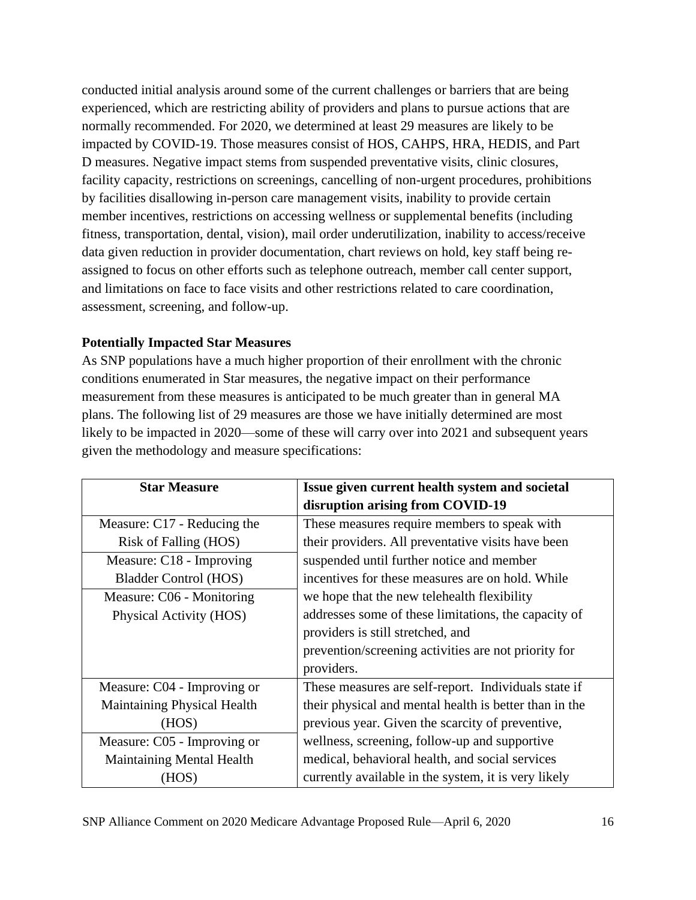conducted initial analysis around some of the current challenges or barriers that are being experienced, which are restricting ability of providers and plans to pursue actions that are normally recommended. For 2020, we determined at least 29 measures are likely to be impacted by COVID-19. Those measures consist of HOS, CAHPS, HRA, HEDIS, and Part D measures. Negative impact stems from suspended preventative visits, clinic closures, facility capacity, restrictions on screenings, cancelling of non-urgent procedures, prohibitions by facilities disallowing in-person care management visits, inability to provide certain member incentives, restrictions on accessing wellness or supplemental benefits (including fitness, transportation, dental, vision), mail order underutilization, inability to access/receive data given reduction in provider documentation, chart reviews on hold, key staff being reassigned to focus on other efforts such as telephone outreach, member call center support, and limitations on face to face visits and other restrictions related to care coordination, assessment, screening, and follow-up.

## **Potentially Impacted Star Measures**

As SNP populations have a much higher proportion of their enrollment with the chronic conditions enumerated in Star measures, the negative impact on their performance measurement from these measures is anticipated to be much greater than in general MA plans. The following list of 29 measures are those we have initially determined are most likely to be impacted in 2020—some of these will carry over into 2021 and subsequent years given the methodology and measure specifications:

| <b>Star Measure</b>              | Issue given current health system and societal         |
|----------------------------------|--------------------------------------------------------|
|                                  | disruption arising from COVID-19                       |
| Measure: C17 - Reducing the      | These measures require members to speak with           |
| Risk of Falling (HOS)            | their providers. All preventative visits have been     |
| Measure: C18 - Improving         | suspended until further notice and member              |
| <b>Bladder Control (HOS)</b>     | incentives for these measures are on hold. While       |
| Measure: C06 - Monitoring        | we hope that the new telehealth flexibility            |
| Physical Activity (HOS)          | addresses some of these limitations, the capacity of   |
|                                  | providers is still stretched, and                      |
|                                  | prevention/screening activities are not priority for   |
|                                  | providers.                                             |
| Measure: C04 - Improving or      | These measures are self-report. Individuals state if   |
| Maintaining Physical Health      | their physical and mental health is better than in the |
| (HOS)                            | previous year. Given the scarcity of preventive,       |
| Measure: C05 - Improving or      | wellness, screening, follow-up and supportive          |
| <b>Maintaining Mental Health</b> | medical, behavioral health, and social services        |
| (HOS)                            | currently available in the system, it is very likely   |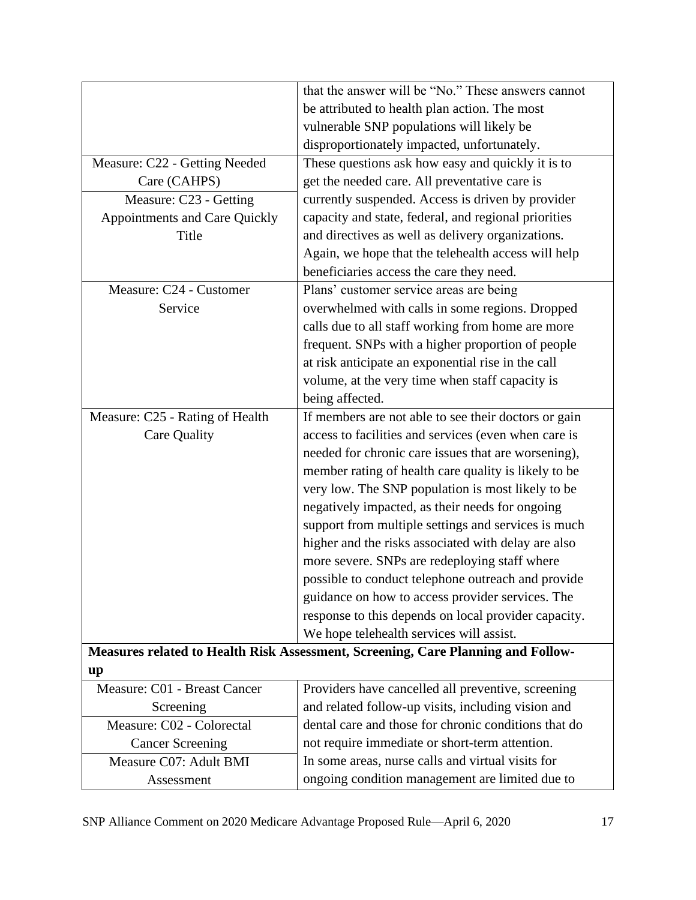|                                 | that the answer will be "No." These answers cannot                               |  |
|---------------------------------|----------------------------------------------------------------------------------|--|
|                                 | be attributed to health plan action. The most                                    |  |
|                                 | vulnerable SNP populations will likely be                                        |  |
|                                 |                                                                                  |  |
|                                 | disproportionately impacted, unfortunately.                                      |  |
| Measure: C22 - Getting Needed   | These questions ask how easy and quickly it is to                                |  |
| Care (CAHPS)                    | get the needed care. All preventative care is                                    |  |
| Measure: C23 - Getting          | currently suspended. Access is driven by provider                                |  |
| Appointments and Care Quickly   | capacity and state, federal, and regional priorities                             |  |
| Title                           | and directives as well as delivery organizations.                                |  |
|                                 | Again, we hope that the telehealth access will help                              |  |
|                                 | beneficiaries access the care they need.                                         |  |
| Measure: C24 - Customer         | Plans' customer service areas are being                                          |  |
| Service                         | overwhelmed with calls in some regions. Dropped                                  |  |
|                                 | calls due to all staff working from home are more                                |  |
|                                 | frequent. SNPs with a higher proportion of people                                |  |
|                                 | at risk anticipate an exponential rise in the call                               |  |
|                                 | volume, at the very time when staff capacity is                                  |  |
|                                 | being affected.                                                                  |  |
| Measure: C25 - Rating of Health | If members are not able to see their doctors or gain                             |  |
| Care Quality                    | access to facilities and services (even when care is                             |  |
|                                 | needed for chronic care issues that are worsening),                              |  |
|                                 | member rating of health care quality is likely to be                             |  |
|                                 | very low. The SNP population is most likely to be                                |  |
|                                 | negatively impacted, as their needs for ongoing                                  |  |
|                                 | support from multiple settings and services is much                              |  |
|                                 | higher and the risks associated with delay are also                              |  |
|                                 | more severe. SNPs are redeploying staff where                                    |  |
|                                 | possible to conduct telephone outreach and provide                               |  |
|                                 | guidance on how to access provider services. The                                 |  |
|                                 | response to this depends on local provider capacity.                             |  |
|                                 | We hope telehealth services will assist.                                         |  |
|                                 | Measures related to Health Risk Assessment, Screening, Care Planning and Follow- |  |
| up                              |                                                                                  |  |
| Measure: C01 - Breast Cancer    | Providers have cancelled all preventive, screening                               |  |
| Screening                       | and related follow-up visits, including vision and                               |  |
| Measure: C02 - Colorectal       | dental care and those for chronic conditions that do                             |  |
| <b>Cancer Screening</b>         | not require immediate or short-term attention.                                   |  |
| Measure C07: Adult BMI          | In some areas, nurse calls and virtual visits for                                |  |
| Assessment                      | ongoing condition management are limited due to                                  |  |
|                                 |                                                                                  |  |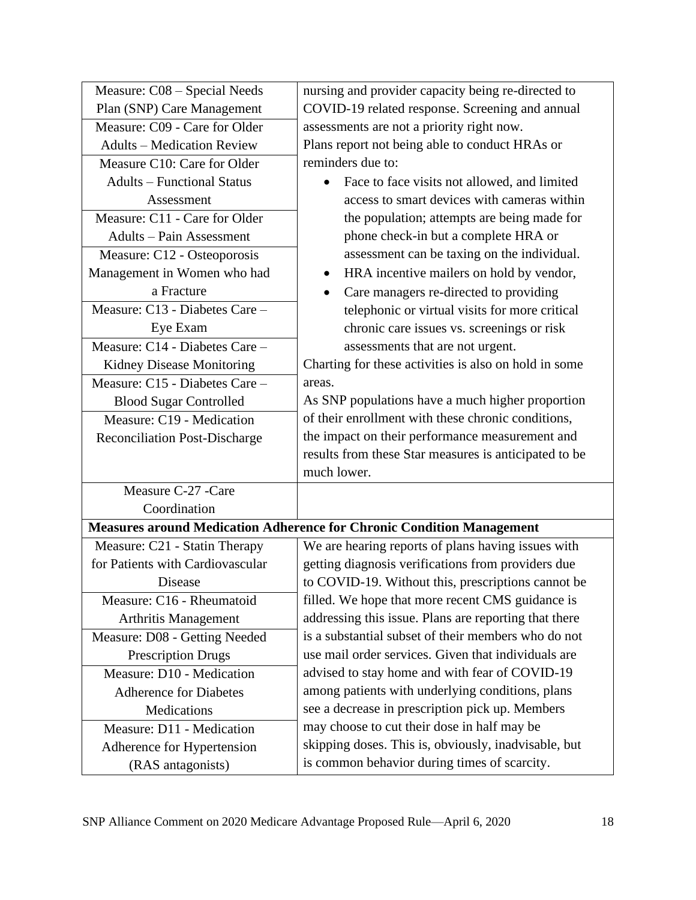| Measure: C08 - Special Needs         | nursing and provider capacity being re-directed to                           |
|--------------------------------------|------------------------------------------------------------------------------|
| Plan (SNP) Care Management           | COVID-19 related response. Screening and annual                              |
| Measure: C09 - Care for Older        | assessments are not a priority right now.                                    |
| <b>Adults – Medication Review</b>    | Plans report not being able to conduct HRAs or                               |
| Measure C10: Care for Older          | reminders due to:                                                            |
| <b>Adults - Functional Status</b>    | Face to face visits not allowed, and limited                                 |
| Assessment                           | access to smart devices with cameras within                                  |
| Measure: C11 - Care for Older        | the population; attempts are being made for                                  |
| <b>Adults - Pain Assessment</b>      | phone check-in but a complete HRA or                                         |
| Measure: C12 - Osteoporosis          | assessment can be taxing on the individual.                                  |
| Management in Women who had          | HRA incentive mailers on hold by vendor,<br>٠                                |
| a Fracture                           | Care managers re-directed to providing<br>$\bullet$                          |
| Measure: C13 - Diabetes Care -       | telephonic or virtual visits for more critical                               |
| Eye Exam                             | chronic care issues vs. screenings or risk                                   |
| Measure: C14 - Diabetes Care -       | assessments that are not urgent.                                             |
| <b>Kidney Disease Monitoring</b>     | Charting for these activities is also on hold in some                        |
| Measure: C15 - Diabetes Care -       | areas.                                                                       |
| <b>Blood Sugar Controlled</b>        | As SNP populations have a much higher proportion                             |
| Measure: C19 - Medication            | of their enrollment with these chronic conditions,                           |
| <b>Reconciliation Post-Discharge</b> | the impact on their performance measurement and                              |
|                                      | results from these Star measures is anticipated to be                        |
|                                      | much lower.                                                                  |
| Measure C-27 -Care                   |                                                                              |
| Coordination                         |                                                                              |
|                                      | <b>Measures around Medication Adherence for Chronic Condition Management</b> |
| Measure: C21 - Statin Therapy        | We are hearing reports of plans having issues with                           |
| for Patients with Cardiovascular     | getting diagnosis verifications from providers due                           |
| Disease                              | to COVID-19. Without this, prescriptions cannot be                           |
| Measure: C16 - Rheumatoid            | filled. We hope that more recent CMS guidance is                             |
| <b>Arthritis Management</b>          | addressing this issue. Plans are reporting that there                        |
| Measure: D08 - Getting Needed        | is a substantial subset of their members who do not                          |
| <b>Prescription Drugs</b>            | use mail order services. Given that individuals are                          |
| Measure: D10 - Medication            | advised to stay home and with fear of COVID-19                               |
| <b>Adherence for Diabetes</b>        | among patients with underlying conditions, plans                             |
| Medications                          | see a decrease in prescription pick up. Members                              |
| Measure: D11 - Medication            | may choose to cut their dose in half may be                                  |
| Adherence for Hypertension           | skipping doses. This is, obviously, inadvisable, but                         |
| (RAS antagonists)                    | is common behavior during times of scarcity.                                 |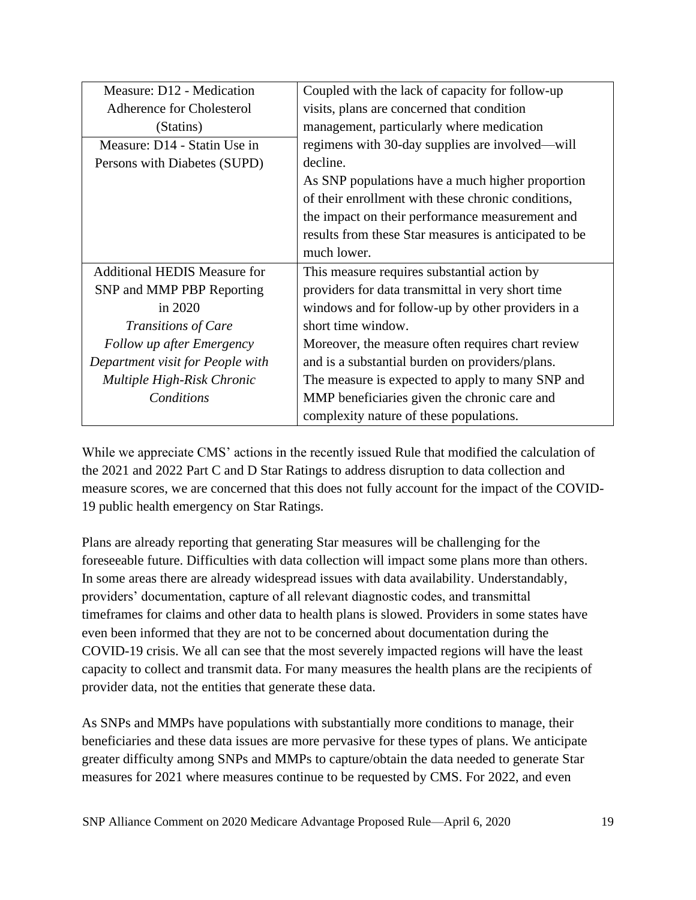| Measure: D12 - Medication           | Coupled with the lack of capacity for follow-up       |
|-------------------------------------|-------------------------------------------------------|
| Adherence for Cholesterol           | visits, plans are concerned that condition            |
| (Statins)                           | management, particularly where medication             |
| Measure: D14 - Statin Use in        | regimens with 30-day supplies are involved—will       |
| Persons with Diabetes (SUPD)        | decline.                                              |
|                                     | As SNP populations have a much higher proportion      |
|                                     | of their enrollment with these chronic conditions,    |
|                                     | the impact on their performance measurement and       |
|                                     | results from these Star measures is anticipated to be |
|                                     | much lower.                                           |
| <b>Additional HEDIS Measure for</b> | This measure requires substantial action by           |
| SNP and MMP PBP Reporting           | providers for data transmittal in very short time     |
| in 2020                             | windows and for follow-up by other providers in a     |
| <b>Transitions of Care</b>          | short time window.                                    |
| <b>Follow up after Emergency</b>    | Moreover, the measure often requires chart review     |
| Department visit for People with    | and is a substantial burden on providers/plans.       |
| Multiple High-Risk Chronic          | The measure is expected to apply to many SNP and      |
| Conditions                          | MMP beneficiaries given the chronic care and          |
|                                     | complexity nature of these populations.               |

While we appreciate CMS' actions in the recently issued Rule that modified the calculation of the 2021 and 2022 Part C and D Star Ratings to address disruption to data collection and measure scores, we are concerned that this does not fully account for the impact of the COVID-19 public health emergency on Star Ratings.

Plans are already reporting that generating Star measures will be challenging for the foreseeable future. Difficulties with data collection will impact some plans more than others. In some areas there are already widespread issues with data availability. Understandably, providers' documentation, capture of all relevant diagnostic codes, and transmittal timeframes for claims and other data to health plans is slowed. Providers in some states have even been informed that they are not to be concerned about documentation during the COVID-19 crisis. We all can see that the most severely impacted regions will have the least capacity to collect and transmit data. For many measures the health plans are the recipients of provider data, not the entities that generate these data.

As SNPs and MMPs have populations with substantially more conditions to manage, their beneficiaries and these data issues are more pervasive for these types of plans. We anticipate greater difficulty among SNPs and MMPs to capture/obtain the data needed to generate Star measures for 2021 where measures continue to be requested by CMS. For 2022, and even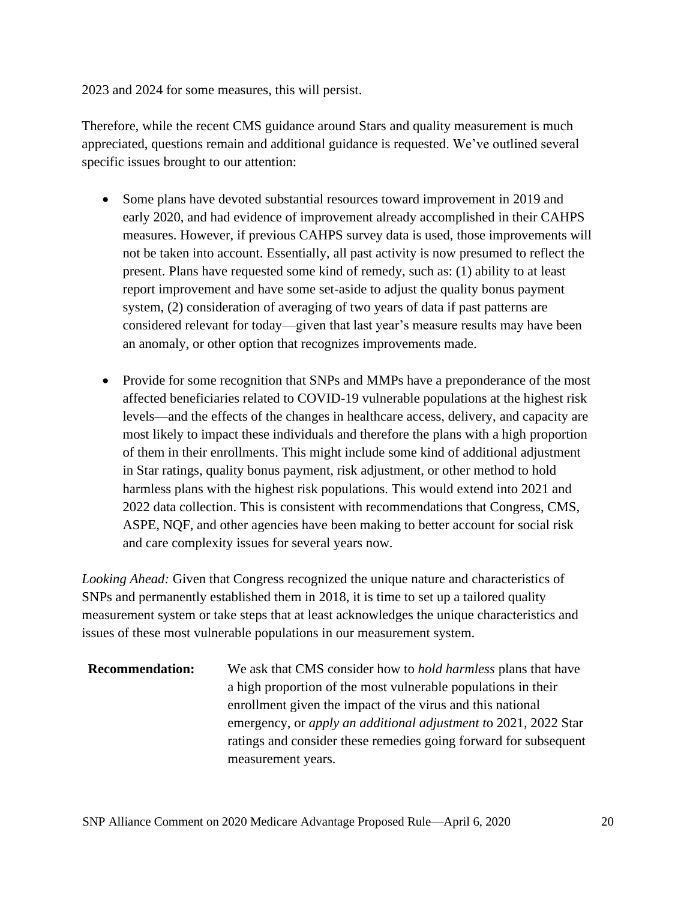2023 and 2024 for some measures, this will persist.

Therefore, while the recent CMS guidance around Stars and quality measurement is much appreciated, questions remain and additional guidance is requested. We've outlined several specific issues brought to our attention:

- Some plans have devoted substantial resources toward improvement in 2019 and early 2020, and had evidence of improvement already accomplished in their CAHPS measures. However, if previous CAHPS survey data is used, those improvements will not be taken into account. Essentially, all past activity is now presumed to reflect the present. Plans have requested some kind of remedy, such as: (1) ability to at least report improvement and have some set-aside to adjust the quality bonus payment system, (2) consideration of averaging of two years of data if past patterns are considered relevant for today—given that last year's measure results may have been an anomaly, or other option that recognizes improvements made.
- Provide for some recognition that SNPs and MMPs have a preponderance of the most affected beneficiaries related to COVID-19 vulnerable populations at the highest risk levels—and the effects of the changes in healthcare access, delivery, and capacity are most likely to impact these individuals and therefore the plans with a high proportion of them in their enrollments. This might include some kind of additional adjustment in Star ratings, quality bonus payment, risk adjustment, or other method to hold harmless plans with the highest risk populations. This would extend into 2021 and 2022 data collection. This is consistent with recommendations that Congress, CMS, ASPE, NQF, and other agencies have been making to better account for social risk and care complexity issues for several years now.

*Looking Ahead:* Given that Congress recognized the unique nature and characteristics of SNPs and permanently established them in 2018, it is time to set up a tailored quality measurement system or take steps that at least acknowledges the unique characteristics and issues of these most vulnerable populations in our measurement system.

**Recommendation:** We ask that CMS consider how to *hold harmless* plans that have a high proportion of the most vulnerable populations in their enrollment given the impact of the virus and this national emergency, or *apply an additional adjustment t*o 2021, 2022 Star ratings and consider these remedies going forward for subsequent measurement years.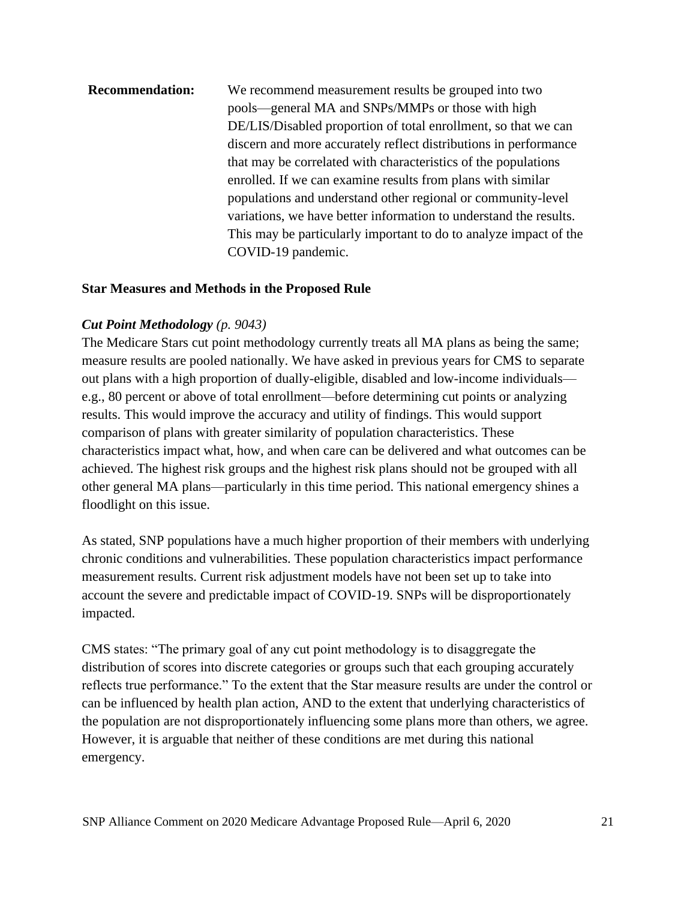# **Recommendation:** We recommend measurement results be grouped into two pools—general MA and SNPs/MMPs or those with high DE/LIS/Disabled proportion of total enrollment, so that we can discern and more accurately reflect distributions in performance that may be correlated with characteristics of the populations enrolled. If we can examine results from plans with similar populations and understand other regional or community-level variations, we have better information to understand the results. This may be particularly important to do to analyze impact of the COVID-19 pandemic.

#### **Star Measures and Methods in the Proposed Rule**

### *Cut Point Methodology (p. 9043)*

The Medicare Stars cut point methodology currently treats all MA plans as being the same; measure results are pooled nationally. We have asked in previous years for CMS to separate out plans with a high proportion of dually-eligible, disabled and low-income individuals e.g., 80 percent or above of total enrollment—before determining cut points or analyzing results. This would improve the accuracy and utility of findings. This would support comparison of plans with greater similarity of population characteristics. These characteristics impact what, how, and when care can be delivered and what outcomes can be achieved. The highest risk groups and the highest risk plans should not be grouped with all other general MA plans—particularly in this time period. This national emergency shines a floodlight on this issue.

As stated, SNP populations have a much higher proportion of their members with underlying chronic conditions and vulnerabilities. These population characteristics impact performance measurement results. Current risk adjustment models have not been set up to take into account the severe and predictable impact of COVID-19. SNPs will be disproportionately impacted.

CMS states: "The primary goal of any cut point methodology is to disaggregate the distribution of scores into discrete categories or groups such that each grouping accurately reflects true performance." To the extent that the Star measure results are under the control or can be influenced by health plan action, AND to the extent that underlying characteristics of the population are not disproportionately influencing some plans more than others, we agree. However, it is arguable that neither of these conditions are met during this national emergency.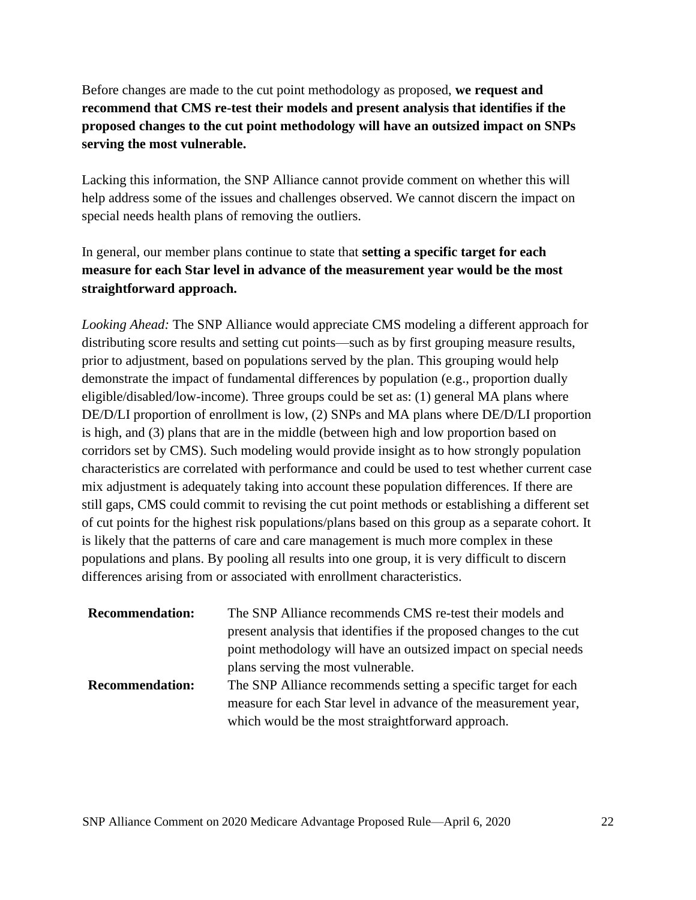Before changes are made to the cut point methodology as proposed, **we request and recommend that CMS re-test their models and present analysis that identifies if the proposed changes to the cut point methodology will have an outsized impact on SNPs serving the most vulnerable.**

Lacking this information, the SNP Alliance cannot provide comment on whether this will help address some of the issues and challenges observed. We cannot discern the impact on special needs health plans of removing the outliers.

In general, our member plans continue to state that **setting a specific target for each measure for each Star level in advance of the measurement year would be the most straightforward approach.**

*Looking Ahead:* The SNP Alliance would appreciate CMS modeling a different approach for distributing score results and setting cut points—such as by first grouping measure results, prior to adjustment, based on populations served by the plan. This grouping would help demonstrate the impact of fundamental differences by population (e.g., proportion dually eligible/disabled/low-income). Three groups could be set as: (1) general MA plans where DE/D/LI proportion of enrollment is low, (2) SNPs and MA plans where DE/D/LI proportion is high, and (3) plans that are in the middle (between high and low proportion based on corridors set by CMS). Such modeling would provide insight as to how strongly population characteristics are correlated with performance and could be used to test whether current case mix adjustment is adequately taking into account these population differences. If there are still gaps, CMS could commit to revising the cut point methods or establishing a different set of cut points for the highest risk populations/plans based on this group as a separate cohort. It is likely that the patterns of care and care management is much more complex in these populations and plans. By pooling all results into one group, it is very difficult to discern differences arising from or associated with enrollment characteristics.

| <b>Recommendation:</b> | The SNP Alliance recommends CMS re-test their models and            |  |
|------------------------|---------------------------------------------------------------------|--|
|                        | present analysis that identifies if the proposed changes to the cut |  |
|                        | point methodology will have an outsized impact on special needs     |  |
|                        | plans serving the most vulnerable.                                  |  |
| <b>Recommendation:</b> | The SNP Alliance recommends setting a specific target for each      |  |
|                        | measure for each Star level in advance of the measurement year,     |  |
|                        | which would be the most straightforward approach.                   |  |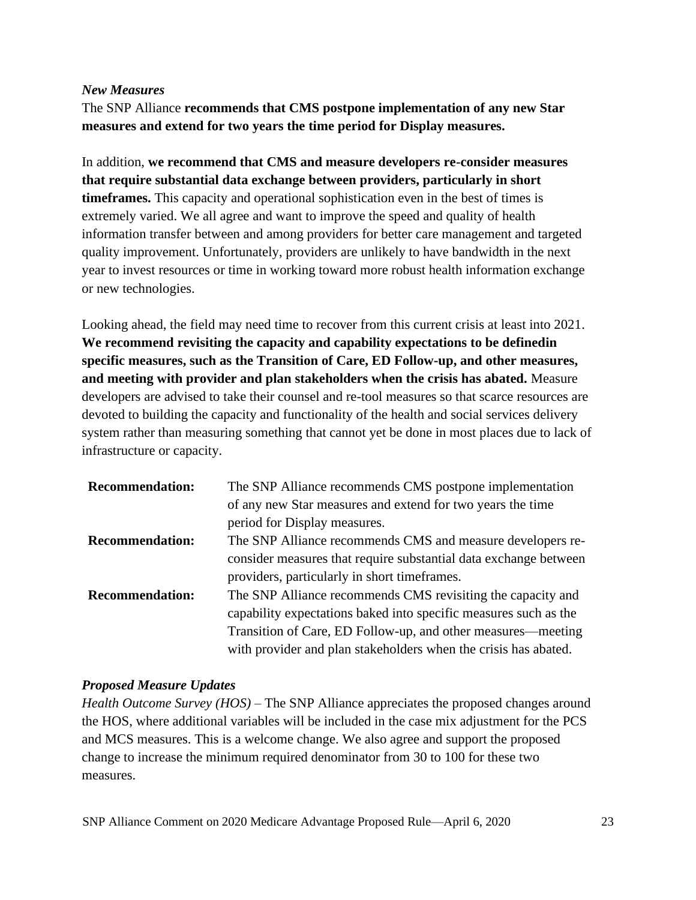#### *New Measures*

The SNP Alliance **recommends that CMS postpone implementation of any new Star measures and extend for two years the time period for Display measures.**

In addition, **we recommend that CMS and measure developers re-consider measures that require substantial data exchange between providers, particularly in short timeframes.** This capacity and operational sophistication even in the best of times is extremely varied. We all agree and want to improve the speed and quality of health information transfer between and among providers for better care management and targeted quality improvement. Unfortunately, providers are unlikely to have bandwidth in the next year to invest resources or time in working toward more robust health information exchange or new technologies.

Looking ahead, the field may need time to recover from this current crisis at least into 2021. **We recommend revisiting the capacity and capability expectations to be definedin specific measures, such as the Transition of Care, ED Follow-up, and other measures, and meeting with provider and plan stakeholders when the crisis has abated.** Measure developers are advised to take their counsel and re-tool measures so that scarce resources are devoted to building the capacity and functionality of the health and social services delivery system rather than measuring something that cannot yet be done in most places due to lack of infrastructure or capacity.

| <b>Recommendation:</b> | The SNP Alliance recommends CMS postpone implementation          |
|------------------------|------------------------------------------------------------------|
|                        | of any new Star measures and extend for two years the time       |
|                        | period for Display measures.                                     |
| <b>Recommendation:</b> | The SNP Alliance recommends CMS and measure developers re-       |
|                        | consider measures that require substantial data exchange between |
|                        | providers, particularly in short timeframes.                     |
| <b>Recommendation:</b> | The SNP Alliance recommends CMS revisiting the capacity and      |
|                        | capability expectations baked into specific measures such as the |
|                        | Transition of Care, ED Follow-up, and other measures—meeting     |
|                        | with provider and plan stakeholders when the crisis has abated.  |

## *Proposed Measure Updates*

*Health Outcome Survey (HOS)* – The SNP Alliance appreciates the proposed changes around the HOS, where additional variables will be included in the case mix adjustment for the PCS and MCS measures. This is a welcome change. We also agree and support the proposed change to increase the minimum required denominator from 30 to 100 for these two measures.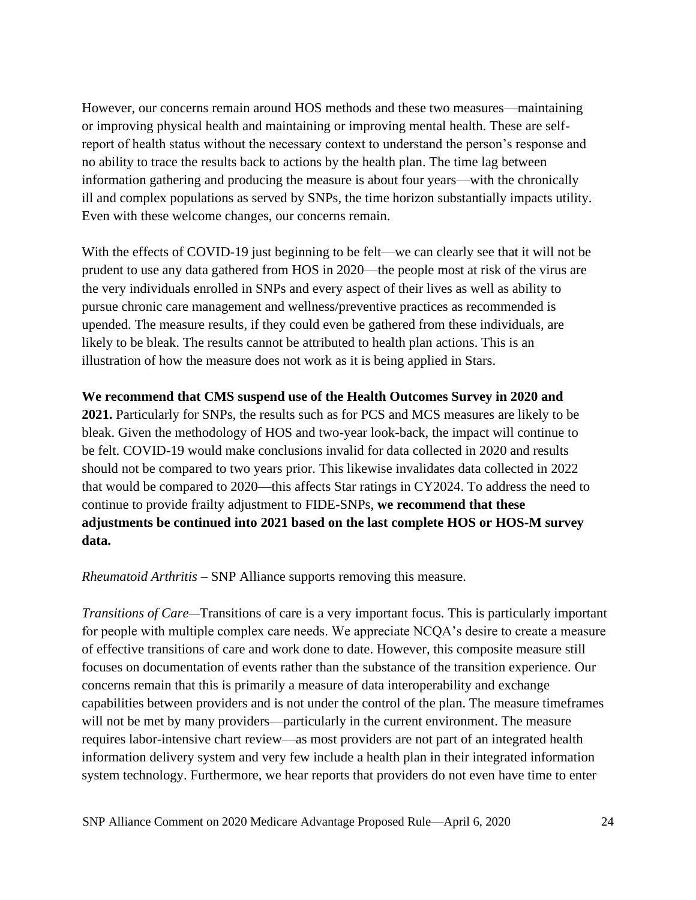However, our concerns remain around HOS methods and these two measures—maintaining or improving physical health and maintaining or improving mental health. These are selfreport of health status without the necessary context to understand the person's response and no ability to trace the results back to actions by the health plan. The time lag between information gathering and producing the measure is about four years—with the chronically ill and complex populations as served by SNPs, the time horizon substantially impacts utility. Even with these welcome changes, our concerns remain.

With the effects of COVID-19 just beginning to be felt—we can clearly see that it will not be prudent to use any data gathered from HOS in 2020—the people most at risk of the virus are the very individuals enrolled in SNPs and every aspect of their lives as well as ability to pursue chronic care management and wellness/preventive practices as recommended is upended. The measure results, if they could even be gathered from these individuals, are likely to be bleak. The results cannot be attributed to health plan actions. This is an illustration of how the measure does not work as it is being applied in Stars.

#### **We recommend that CMS suspend use of the Health Outcomes Survey in 2020 and**

**2021.** Particularly for SNPs, the results such as for PCS and MCS measures are likely to be bleak. Given the methodology of HOS and two-year look-back, the impact will continue to be felt. COVID-19 would make conclusions invalid for data collected in 2020 and results should not be compared to two years prior. This likewise invalidates data collected in 2022 that would be compared to 2020—this affects Star ratings in CY2024. To address the need to continue to provide frailty adjustment to FIDE-SNPs, **we recommend that these adjustments be continued into 2021 based on the last complete HOS or HOS-M survey data.**

*Rheumatoid Arthritis –* SNP Alliance supports removing this measure.

*Transitions of Care—*Transitions of care is a very important focus. This is particularly important for people with multiple complex care needs. We appreciate NCQA's desire to create a measure of effective transitions of care and work done to date. However, this composite measure still focuses on documentation of events rather than the substance of the transition experience. Our concerns remain that this is primarily a measure of data interoperability and exchange capabilities between providers and is not under the control of the plan. The measure timeframes will not be met by many providers—particularly in the current environment. The measure requires labor-intensive chart review—as most providers are not part of an integrated health information delivery system and very few include a health plan in their integrated information system technology. Furthermore, we hear reports that providers do not even have time to enter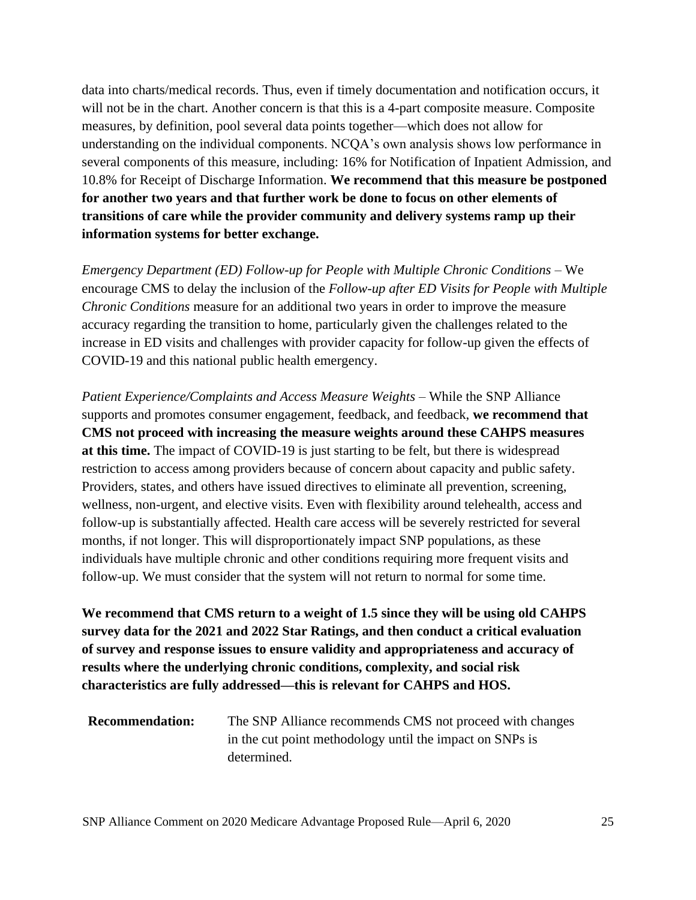data into charts/medical records. Thus, even if timely documentation and notification occurs, it will not be in the chart. Another concern is that this is a 4-part composite measure. Composite measures, by definition, pool several data points together—which does not allow for understanding on the individual components. NCQA's own analysis shows low performance in several components of this measure, including: 16% for Notification of Inpatient Admission, and 10.8% for Receipt of Discharge Information. **We recommend that this measure be postponed for another two years and that further work be done to focus on other elements of transitions of care while the provider community and delivery systems ramp up their information systems for better exchange.**

*Emergency Department (ED) Follow-up for People with Multiple Chronic Conditions –* We encourage CMS to delay the inclusion of the *Follow-up after ED Visits for People with Multiple Chronic Conditions* measure for an additional two years in order to improve the measure accuracy regarding the transition to home, particularly given the challenges related to the increase in ED visits and challenges with provider capacity for follow-up given the effects of COVID-19 and this national public health emergency.

*Patient Experience/Complaints and Access Measure Weights* – While the SNP Alliance supports and promotes consumer engagement, feedback, and feedback, **we recommend that CMS not proceed with increasing the measure weights around these CAHPS measures at this time.** The impact of COVID-19 is just starting to be felt, but there is widespread restriction to access among providers because of concern about capacity and public safety. Providers, states, and others have issued directives to eliminate all prevention, screening, wellness, non-urgent, and elective visits. Even with flexibility around telehealth, access and follow-up is substantially affected. Health care access will be severely restricted for several months, if not longer. This will disproportionately impact SNP populations, as these individuals have multiple chronic and other conditions requiring more frequent visits and follow-up. We must consider that the system will not return to normal for some time.

**We recommend that CMS return to a weight of 1.5 since they will be using old CAHPS survey data for the 2021 and 2022 Star Ratings, and then conduct a critical evaluation of survey and response issues to ensure validity and appropriateness and accuracy of results where the underlying chronic conditions, complexity, and social risk characteristics are fully addressed—this is relevant for CAHPS and HOS.**

| <b>Recommendation:</b> | The SNP Alliance recommends CMS not proceed with changes |
|------------------------|----------------------------------------------------------|
|                        | in the cut point methodology until the impact on SNPs is |
|                        | determined.                                              |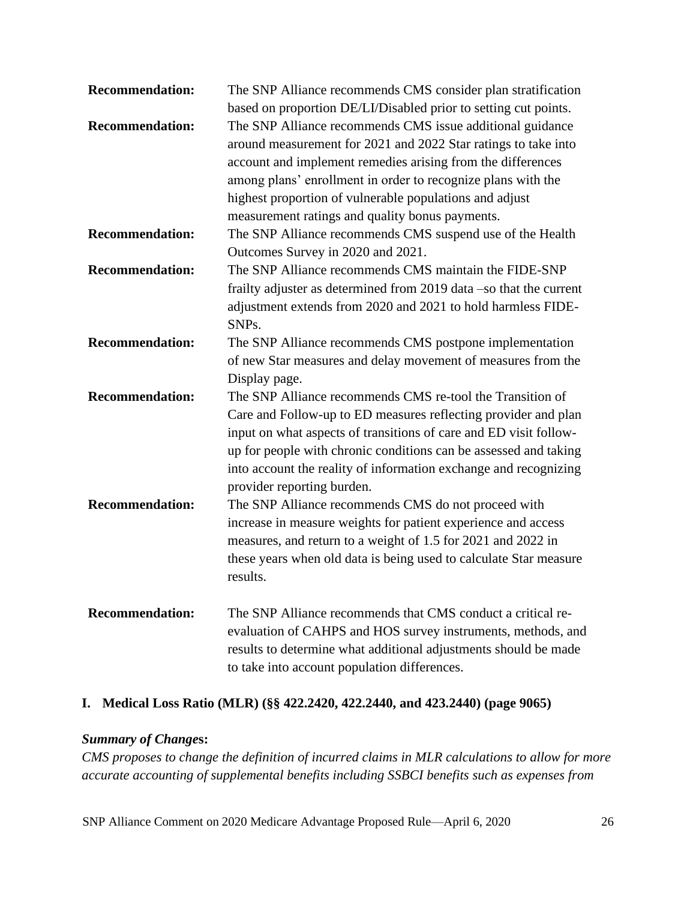| <b>Recommendation:</b> | The SNP Alliance recommends CMS consider plan stratification                                                                                                                                                                                                                                                                                                                                                                                |
|------------------------|---------------------------------------------------------------------------------------------------------------------------------------------------------------------------------------------------------------------------------------------------------------------------------------------------------------------------------------------------------------------------------------------------------------------------------------------|
| <b>Recommendation:</b> | based on proportion DE/LI/Disabled prior to setting cut points.<br>The SNP Alliance recommends CMS issue additional guidance<br>around measurement for 2021 and 2022 Star ratings to take into<br>account and implement remedies arising from the differences<br>among plans' enrollment in order to recognize plans with the<br>highest proportion of vulnerable populations and adjust<br>measurement ratings and quality bonus payments. |
| <b>Recommendation:</b> | The SNP Alliance recommends CMS suspend use of the Health<br>Outcomes Survey in 2020 and 2021.                                                                                                                                                                                                                                                                                                                                              |
| <b>Recommendation:</b> | The SNP Alliance recommends CMS maintain the FIDE-SNP<br>frailty adjuster as determined from 2019 data -so that the current<br>adjustment extends from 2020 and 2021 to hold harmless FIDE-<br>SNP <sub>s</sub> .                                                                                                                                                                                                                           |
| <b>Recommendation:</b> | The SNP Alliance recommends CMS postpone implementation<br>of new Star measures and delay movement of measures from the<br>Display page.                                                                                                                                                                                                                                                                                                    |
| <b>Recommendation:</b> | The SNP Alliance recommends CMS re-tool the Transition of<br>Care and Follow-up to ED measures reflecting provider and plan<br>input on what aspects of transitions of care and ED visit follow-<br>up for people with chronic conditions can be assessed and taking<br>into account the reality of information exchange and recognizing<br>provider reporting burden.                                                                      |
| <b>Recommendation:</b> | The SNP Alliance recommends CMS do not proceed with<br>increase in measure weights for patient experience and access<br>measures, and return to a weight of 1.5 for 2021 and 2022 in<br>these years when old data is being used to calculate Star measure<br>results.                                                                                                                                                                       |
| <b>Recommendation:</b> | The SNP Alliance recommends that CMS conduct a critical re-<br>evaluation of CAHPS and HOS survey instruments, methods, and<br>results to determine what additional adjustments should be made<br>to take into account population differences.                                                                                                                                                                                              |

## **I. Medical Loss Ratio (MLR) (§§ 422.2420, 422.2440, and 423.2440) (page 9065)**

## *Summary of Change***s:**

*CMS proposes to change the definition of incurred claims in MLR calculations to allow for more accurate accounting of supplemental benefits including SSBCI benefits such as expenses from*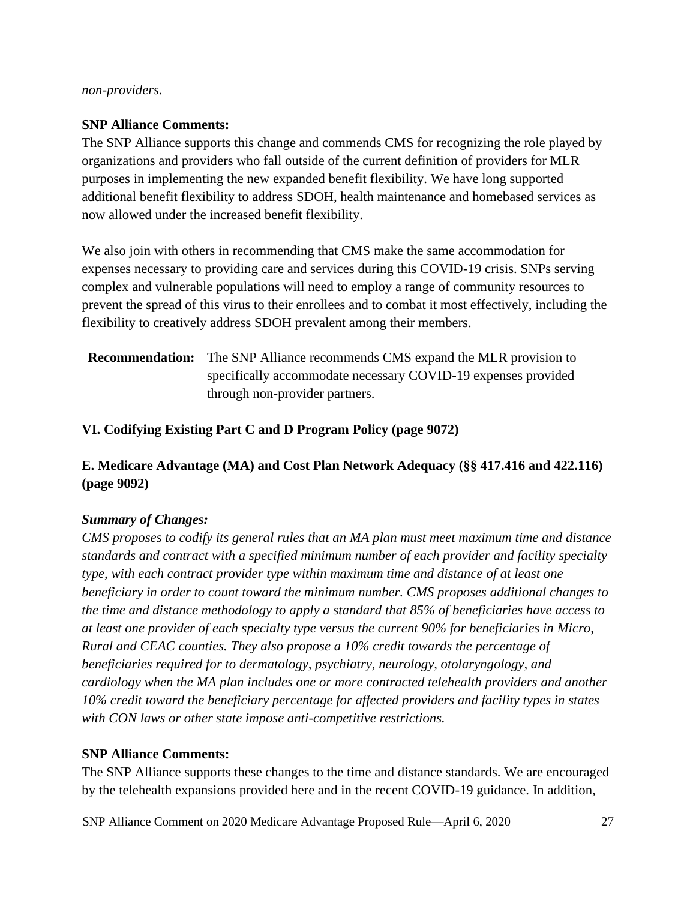#### *non-providers.*

### **SNP Alliance Comments:**

The SNP Alliance supports this change and commends CMS for recognizing the role played by organizations and providers who fall outside of the current definition of providers for MLR purposes in implementing the new expanded benefit flexibility. We have long supported additional benefit flexibility to address SDOH, health maintenance and homebased services as now allowed under the increased benefit flexibility.

We also join with others in recommending that CMS make the same accommodation for expenses necessary to providing care and services during this COVID-19 crisis. SNPs serving complex and vulnerable populations will need to employ a range of community resources to prevent the spread of this virus to their enrollees and to combat it most effectively, including the flexibility to creatively address SDOH prevalent among their members.

**Recommendation:** The SNP Alliance recommends CMS expand the MLR provision to specifically accommodate necessary COVID-19 expenses provided through non-provider partners.

### **VI. Codifying Existing Part C and D Program Policy (page 9072)**

## **E. Medicare Advantage (MA) and Cost Plan Network Adequacy (§§ 417.416 and 422.116) (page 9092)**

## *Summary of Changes:*

*CMS proposes to codify its general rules that an MA plan must meet maximum time and distance standards and contract with a specified minimum number of each provider and facility specialty type, with each contract provider type within maximum time and distance of at least one beneficiary in order to count toward the minimum number. CMS proposes additional changes to the time and distance methodology to apply a standard that 85% of beneficiaries have access to at least one provider of each specialty type versus the current 90% for beneficiaries in Micro, Rural and CEAC counties. They also propose a 10% credit towards the percentage of beneficiaries required for to dermatology, psychiatry, neurology, otolaryngology, and cardiology when the MA plan includes one or more contracted telehealth providers and another 10% credit toward the beneficiary percentage for affected providers and facility types in states with CON laws or other state impose anti-competitive restrictions.* 

#### **SNP Alliance Comments:**

The SNP Alliance supports these changes to the time and distance standards. We are encouraged by the telehealth expansions provided here and in the recent COVID-19 guidance. In addition,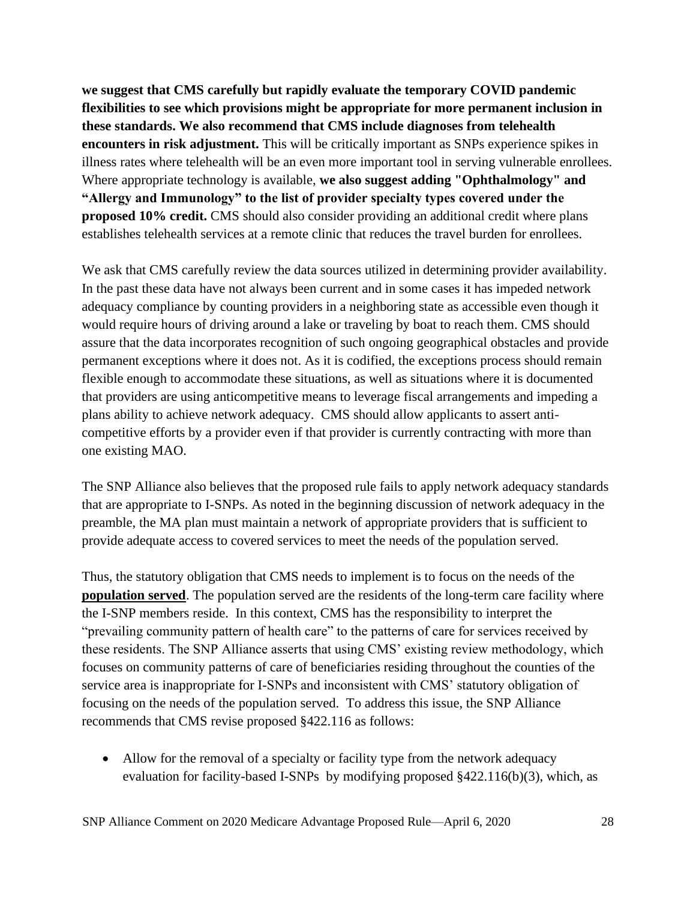**we suggest that CMS carefully but rapidly evaluate the temporary COVID pandemic flexibilities to see which provisions might be appropriate for more permanent inclusion in these standards. We also recommend that CMS include diagnoses from telehealth encounters in risk adjustment.** This will be critically important as SNPs experience spikes in illness rates where telehealth will be an even more important tool in serving vulnerable enrollees. Where appropriate technology is available, **we also suggest adding "Ophthalmology" and "Allergy and Immunology" to the list of provider specialty types covered under the proposed 10% credit.** CMS should also consider providing an additional credit where plans establishes telehealth services at a remote clinic that reduces the travel burden for enrollees.

We ask that CMS carefully review the data sources utilized in determining provider availability. In the past these data have not always been current and in some cases it has impeded network adequacy compliance by counting providers in a neighboring state as accessible even though it would require hours of driving around a lake or traveling by boat to reach them. CMS should assure that the data incorporates recognition of such ongoing geographical obstacles and provide permanent exceptions where it does not. As it is codified, the exceptions process should remain flexible enough to accommodate these situations, as well as situations where it is documented that providers are using anticompetitive means to leverage fiscal arrangements and impeding a plans ability to achieve network adequacy. CMS should allow applicants to assert anticompetitive efforts by a provider even if that provider is currently contracting with more than one existing MAO.

The SNP Alliance also believes that the proposed rule fails to apply network adequacy standards that are appropriate to I-SNPs. As noted in the beginning discussion of network adequacy in the preamble, the MA plan must maintain a network of appropriate providers that is sufficient to provide adequate access to covered services to meet the needs of the population served.

Thus, the statutory obligation that CMS needs to implement is to focus on the needs of the **population served**. The population served are the residents of the long-term care facility where the I-SNP members reside. In this context, CMS has the responsibility to interpret the "prevailing community pattern of health care" to the patterns of care for services received by these residents. The SNP Alliance asserts that using CMS' existing review methodology, which focuses on community patterns of care of beneficiaries residing throughout the counties of the service area is inappropriate for I-SNPs and inconsistent with CMS' statutory obligation of focusing on the needs of the population served. To address this issue, the SNP Alliance recommends that CMS revise proposed §422.116 as follows:

• Allow for the removal of a specialty or facility type from the network adequacy evaluation for facility-based I-SNPs by modifying proposed §422.116(b)(3), which, as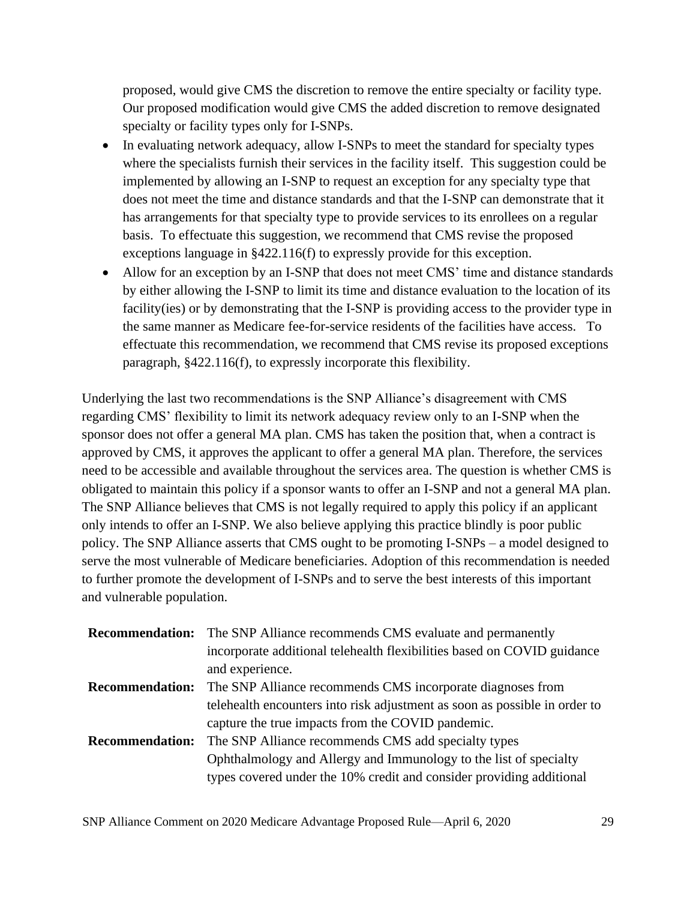proposed, would give CMS the discretion to remove the entire specialty or facility type. Our proposed modification would give CMS the added discretion to remove designated specialty or facility types only for I-SNPs.

- In evaluating network adequacy, allow I-SNPs to meet the standard for specialty types where the specialists furnish their services in the facility itself. This suggestion could be implemented by allowing an I-SNP to request an exception for any specialty type that does not meet the time and distance standards and that the I-SNP can demonstrate that it has arrangements for that specialty type to provide services to its enrollees on a regular basis. To effectuate this suggestion, we recommend that CMS revise the proposed exceptions language in §422.116(f) to expressly provide for this exception.
- Allow for an exception by an I-SNP that does not meet CMS' time and distance standards by either allowing the I-SNP to limit its time and distance evaluation to the location of its facility(ies) or by demonstrating that the I-SNP is providing access to the provider type in the same manner as Medicare fee-for-service residents of the facilities have access. To effectuate this recommendation, we recommend that CMS revise its proposed exceptions paragraph, §422.116(f), to expressly incorporate this flexibility.

Underlying the last two recommendations is the SNP Alliance's disagreement with CMS regarding CMS' flexibility to limit its network adequacy review only to an I-SNP when the sponsor does not offer a general MA plan. CMS has taken the position that, when a contract is approved by CMS, it approves the applicant to offer a general MA plan. Therefore, the services need to be accessible and available throughout the services area. The question is whether CMS is obligated to maintain this policy if a sponsor wants to offer an I-SNP and not a general MA plan. The SNP Alliance believes that CMS is not legally required to apply this policy if an applicant only intends to offer an I-SNP. We also believe applying this practice blindly is poor public policy. The SNP Alliance asserts that CMS ought to be promoting I-SNPs – a model designed to serve the most vulnerable of Medicare beneficiaries. Adoption of this recommendation is needed to further promote the development of I-SNPs and to serve the best interests of this important and vulnerable population.

|                        | <b>Recommendation:</b> The SNP Alliance recommends CMS evaluate and permanently |
|------------------------|---------------------------------------------------------------------------------|
|                        | incorporate additional telehealth flexibilities based on COVID guidance         |
|                        | and experience.                                                                 |
| <b>Recommendation:</b> | The SNP Alliance recommends CMS incorporate diagnoses from                      |
|                        | telehealth encounters into risk adjustment as soon as possible in order to      |
|                        | capture the true impacts from the COVID pandemic.                               |
| <b>Recommendation:</b> | The SNP Alliance recommends CMS add specialty types                             |
|                        | Ophthalmology and Allergy and Immunology to the list of specialty               |
|                        | types covered under the 10% credit and consider providing additional            |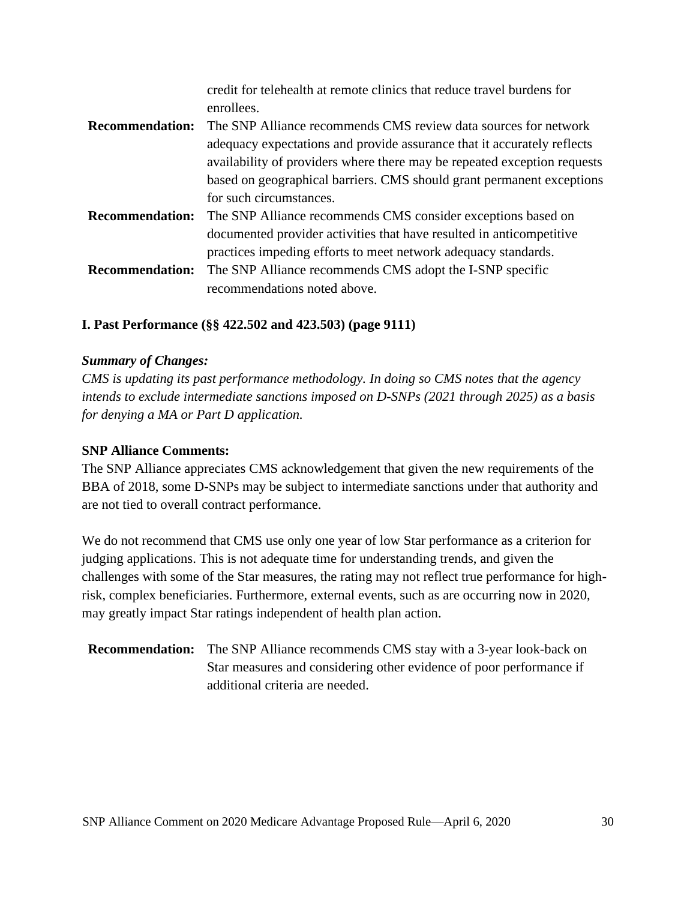|                        | credit for telehealth at remote clinics that reduce travel burdens for   |
|------------------------|--------------------------------------------------------------------------|
|                        | enrollees.                                                               |
| <b>Recommendation:</b> | The SNP Alliance recommends CMS review data sources for network          |
|                        | adequacy expectations and provide assurance that it accurately reflects  |
|                        | availability of providers where there may be repeated exception requests |
|                        | based on geographical barriers. CMS should grant permanent exceptions    |
|                        | for such circumstances.                                                  |
| <b>Recommendation:</b> | The SNP Alliance recommends CMS consider exceptions based on             |
|                        | documented provider activities that have resulted in anticompetitive     |
|                        | practices impeding efforts to meet network adequacy standards.           |
| <b>Recommendation:</b> | The SNP Alliance recommends CMS adopt the I-SNP specific                 |
|                        | recommendations noted above.                                             |

## **I. Past Performance (§§ 422.502 and 423.503) (page 9111)**

#### *Summary of Changes:*

*CMS is updating its past performance methodology. In doing so CMS notes that the agency intends to exclude intermediate sanctions imposed on D-SNPs (2021 through 2025) as a basis for denying a MA or Part D application.* 

#### **SNP Alliance Comments:**

The SNP Alliance appreciates CMS acknowledgement that given the new requirements of the BBA of 2018, some D-SNPs may be subject to intermediate sanctions under that authority and are not tied to overall contract performance.

We do not recommend that CMS use only one year of low Star performance as a criterion for judging applications. This is not adequate time for understanding trends, and given the challenges with some of the Star measures, the rating may not reflect true performance for highrisk, complex beneficiaries. Furthermore, external events, such as are occurring now in 2020, may greatly impact Star ratings independent of health plan action.

## **Recommendation:** The SNP Alliance recommends CMS stay with a 3-year look-back on Star measures and considering other evidence of poor performance if additional criteria are needed.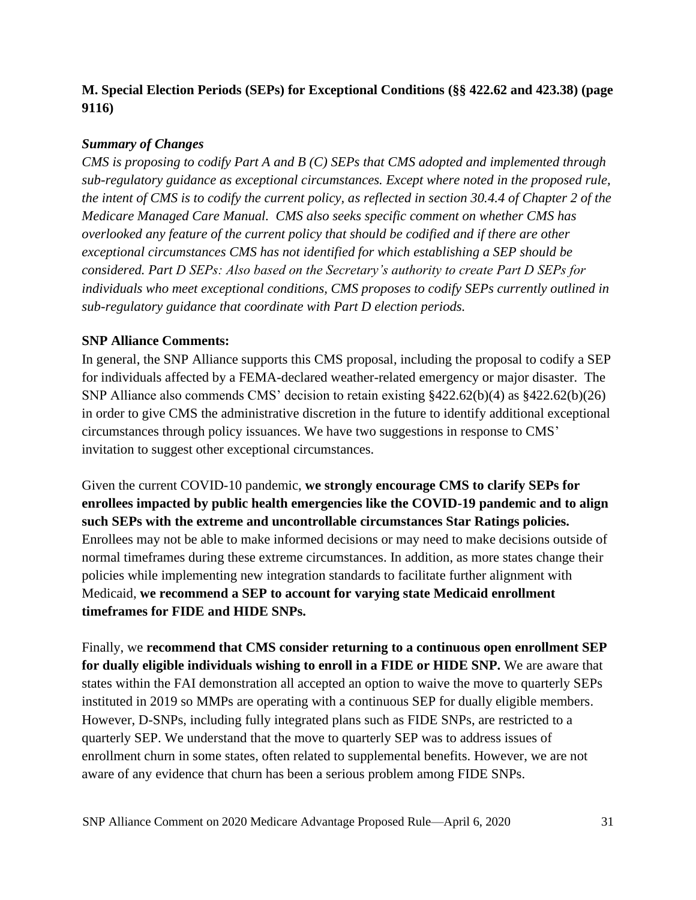## **M. Special Election Periods (SEPs) for Exceptional Conditions (§§ 422.62 and 423.38) (page 9116)**

## *Summary of Changes*

*CMS is proposing to codify Part A and B (C) SEPs that CMS adopted and implemented through sub-regulatory guidance as exceptional circumstances. Except where noted in the proposed rule, the intent of CMS is to codify the current policy, as reflected in section 30.4.4 of Chapter 2 of the Medicare Managed Care Manual. CMS also seeks specific comment on whether CMS has overlooked any feature of the current policy that should be codified and if there are other exceptional circumstances CMS has not identified for which establishing a SEP should be considered. Part D SEPs: Also based on the Secretary's authority to create Part D SEPs for individuals who meet exceptional conditions, CMS proposes to codify SEPs currently outlined in sub-regulatory guidance that coordinate with Part D election periods.*

## **SNP Alliance Comments:**

In general, the SNP Alliance supports this CMS proposal, including the proposal to codify a SEP for individuals affected by a FEMA-declared weather-related emergency or major disaster. The SNP Alliance also commends CMS' decision to retain existing §422.62(b)(4) as §422.62(b)(26) in order to give CMS the administrative discretion in the future to identify additional exceptional circumstances through policy issuances. We have two suggestions in response to CMS' invitation to suggest other exceptional circumstances.

Given the current COVID-10 pandemic, **we strongly encourage CMS to clarify SEPs for enrollees impacted by public health emergencies like the COVID-19 pandemic and to align such SEPs with the extreme and uncontrollable circumstances Star Ratings policies.** Enrollees may not be able to make informed decisions or may need to make decisions outside of normal timeframes during these extreme circumstances. In addition, as more states change their policies while implementing new integration standards to facilitate further alignment with Medicaid, **we recommend a SEP to account for varying state Medicaid enrollment timeframes for FIDE and HIDE SNPs.**

Finally, we **recommend that CMS consider returning to a continuous open enrollment SEP for dually eligible individuals wishing to enroll in a FIDE or HIDE SNP.** We are aware that states within the FAI demonstration all accepted an option to waive the move to quarterly SEPs instituted in 2019 so MMPs are operating with a continuous SEP for dually eligible members. However, D-SNPs, including fully integrated plans such as FIDE SNPs, are restricted to a quarterly SEP. We understand that the move to quarterly SEP was to address issues of enrollment churn in some states, often related to supplemental benefits. However, we are not aware of any evidence that churn has been a serious problem among FIDE SNPs.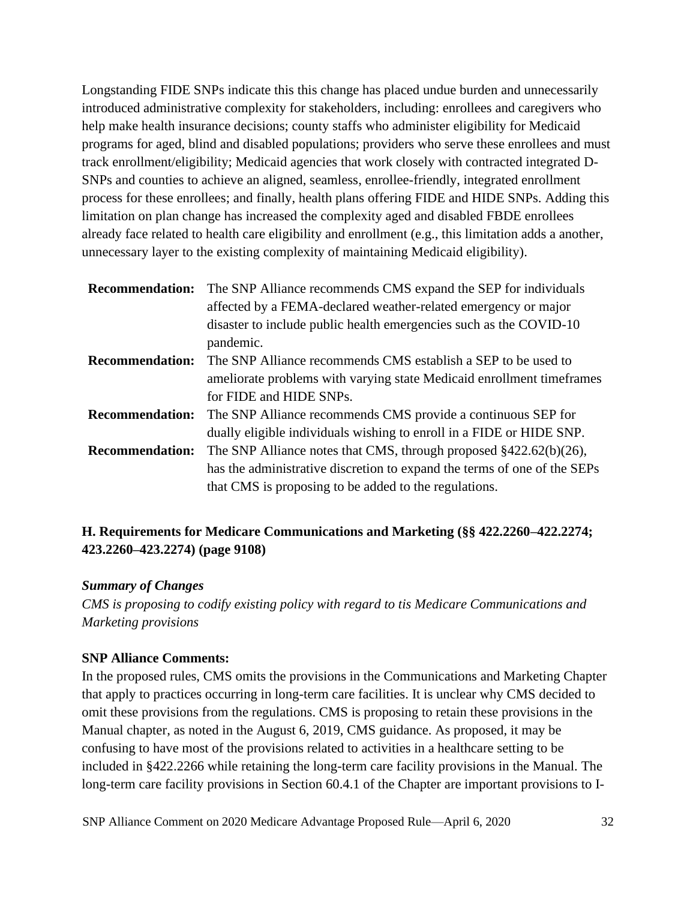Longstanding FIDE SNPs indicate this this change has placed undue burden and unnecessarily introduced administrative complexity for stakeholders, including: enrollees and caregivers who help make health insurance decisions; county staffs who administer eligibility for Medicaid programs for aged, blind and disabled populations; providers who serve these enrollees and must track enrollment/eligibility; Medicaid agencies that work closely with contracted integrated D-SNPs and counties to achieve an aligned, seamless, enrollee-friendly, integrated enrollment process for these enrollees; and finally, health plans offering FIDE and HIDE SNPs. Adding this limitation on plan change has increased the complexity aged and disabled FBDE enrollees already face related to health care eligibility and enrollment (e.g., this limitation adds a another, unnecessary layer to the existing complexity of maintaining Medicaid eligibility).

| <b>Recommendation:</b> | The SNP Alliance recommends CMS expand the SEP for individuals           |
|------------------------|--------------------------------------------------------------------------|
|                        | affected by a FEMA-declared weather-related emergency or major           |
|                        | disaster to include public health emergencies such as the COVID-10       |
|                        | pandemic.                                                                |
| <b>Recommendation:</b> | The SNP Alliance recommends CMS establish a SEP to be used to            |
|                        | ameliorate problems with varying state Medicaid enrollment timeframes    |
|                        | for FIDE and HIDE SNPs.                                                  |
| <b>Recommendation:</b> | The SNP Alliance recommends CMS provide a continuous SEP for             |
|                        | dually eligible individuals wishing to enroll in a FIDE or HIDE SNP.     |
| <b>Recommendation:</b> | The SNP Alliance notes that CMS, through proposed $\S422.62(b)(26)$ ,    |
|                        | has the administrative discretion to expand the terms of one of the SEPs |
|                        | that CMS is proposing to be added to the regulations.                    |

## **H. Requirements for Medicare Communications and Marketing (§§ 422.2260–422.2274; 423.2260–423.2274) (page 9108)**

#### *Summary of Changes*

*CMS is proposing to codify existing policy with regard to tis Medicare Communications and Marketing provisions*

## **SNP Alliance Comments:**

In the proposed rules, CMS omits the provisions in the Communications and Marketing Chapter that apply to practices occurring in long-term care facilities. It is unclear why CMS decided to omit these provisions from the regulations. CMS is proposing to retain these provisions in the Manual chapter, as noted in the August 6, 2019, CMS guidance. As proposed, it may be confusing to have most of the provisions related to activities in a healthcare setting to be included in §422.2266 while retaining the long-term care facility provisions in the Manual. The long-term care facility provisions in Section 60.4.1 of the Chapter are important provisions to I-